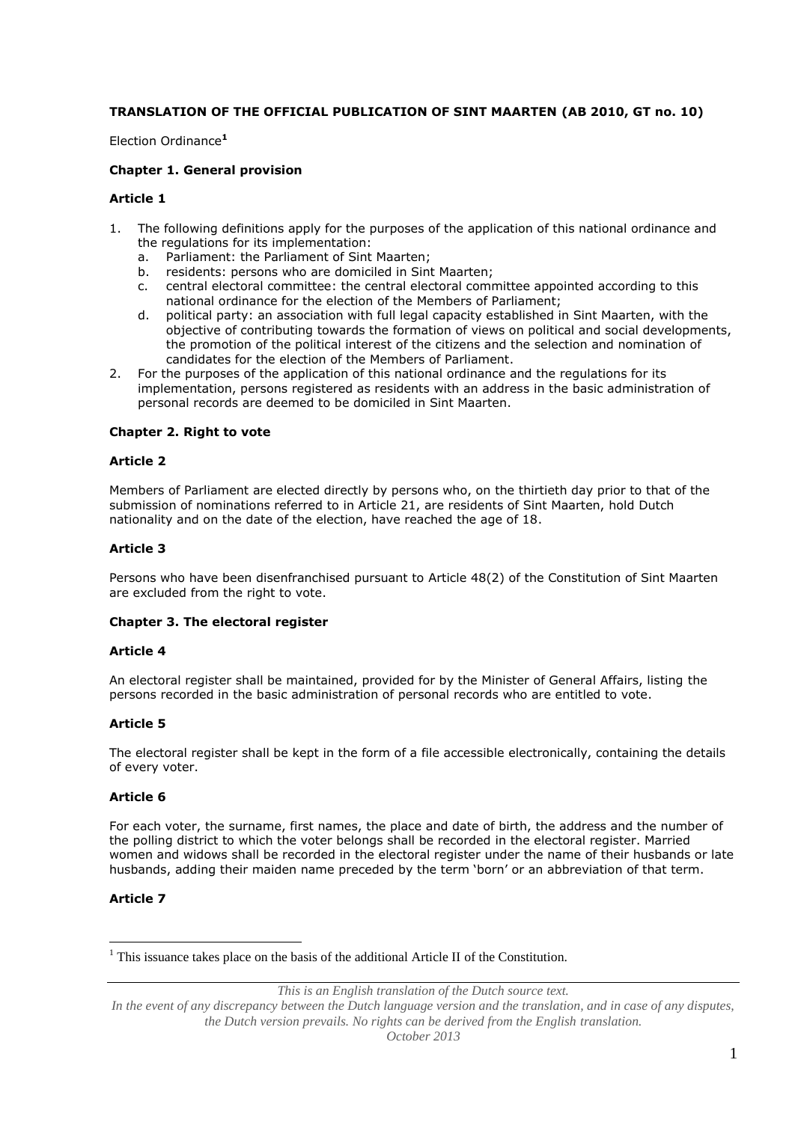# **TRANSLATION OF THE OFFICIAL PUBLICATION OF SINT MAARTEN (AB 2010, GT no. 10)**

Election Ordinance**<sup>1</sup>**

### **Chapter 1. General provision**

### **Article 1**

- 1. The following definitions apply for the purposes of the application of this national ordinance and the regulations for its implementation:
	- a. Parliament: the Parliament of Sint Maarten;
	- b. residents: persons who are domiciled in Sint Maarten;
	- c. central electoral committee: the central electoral committee appointed according to this national ordinance for the election of the Members of Parliament;
	- d. political party: an association with full legal capacity established in Sint Maarten, with the objective of contributing towards the formation of views on political and social developments, the promotion of the political interest of the citizens and the selection and nomination of candidates for the election of the Members of Parliament.
- 2. For the purposes of the application of this national ordinance and the regulations for its implementation, persons registered as residents with an address in the basic administration of personal records are deemed to be domiciled in Sint Maarten.

### **Chapter 2. Right to vote**

## **Article 2**

Members of Parliament are elected directly by persons who, on the thirtieth day prior to that of the submission of nominations referred to in Article 21, are residents of Sint Maarten, hold Dutch nationality and on the date of the election, have reached the age of 18.

### **Article 3**

Persons who have been disenfranchised pursuant to Article 48(2) of the Constitution of Sint Maarten are excluded from the right to vote.

#### **Chapter 3. The electoral register**

#### **Article 4**

An electoral register shall be maintained, provided for by the Minister of General Affairs, listing the persons recorded in the basic administration of personal records who are entitled to vote.

## **Article 5**

The electoral register shall be kept in the form of a file accessible electronically, containing the details of every voter.

#### **Article 6**

For each voter, the surname, first names, the place and date of birth, the address and the number of the polling district to which the voter belongs shall be recorded in the electoral register. Married women and widows shall be recorded in the electoral register under the name of their husbands or late husbands, adding their maiden name preceded by the term 'born' or an abbreviation of that term.

# **Article 7**

 $\overline{a}$ 

 $<sup>1</sup>$  This issuance takes place on the basis of the additional Article II of the Constitution.</sup>

*This is an English translation of the Dutch source text.*

In the event of any discrepancy between the Dutch language version and the translation, and in case of any disputes, *the Dutch version prevails. No rights can be derived from the English translation.*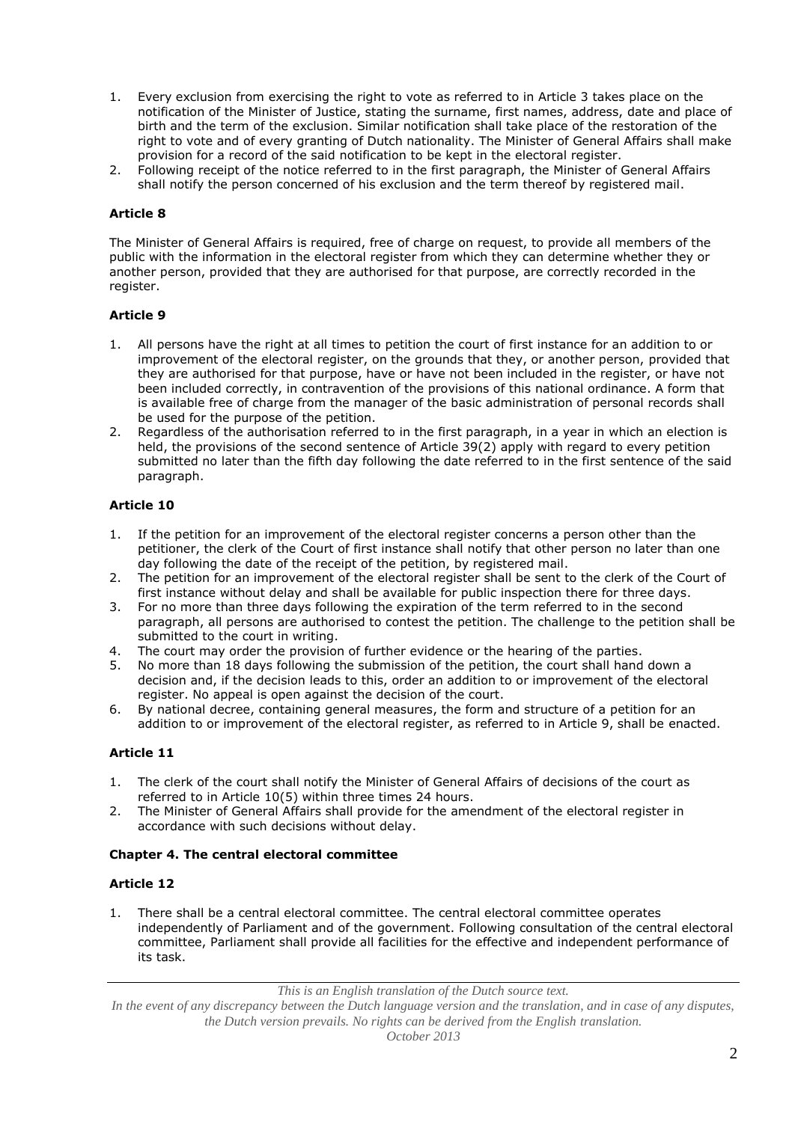- 1. Every exclusion from exercising the right to vote as referred to in Article 3 takes place on the notification of the Minister of Justice, stating the surname, first names, address, date and place of birth and the term of the exclusion. Similar notification shall take place of the restoration of the right to vote and of every granting of Dutch nationality. The Minister of General Affairs shall make provision for a record of the said notification to be kept in the electoral register.
- 2. Following receipt of the notice referred to in the first paragraph, the Minister of General Affairs shall notify the person concerned of his exclusion and the term thereof by registered mail.

The Minister of General Affairs is required, free of charge on request, to provide all members of the public with the information in the electoral register from which they can determine whether they or another person, provided that they are authorised for that purpose, are correctly recorded in the register.

# **Article 9**

- 1. All persons have the right at all times to petition the court of first instance for an addition to or improvement of the electoral register, on the grounds that they, or another person, provided that they are authorised for that purpose, have or have not been included in the register, or have not been included correctly, in contravention of the provisions of this national ordinance. A form that is available free of charge from the manager of the basic administration of personal records shall be used for the purpose of the petition.
- 2. Regardless of the authorisation referred to in the first paragraph, in a year in which an election is held, the provisions of the second sentence of Article 39(2) apply with regard to every petition submitted no later than the fifth day following the date referred to in the first sentence of the said paragraph.

# **Article 10**

- 1. If the petition for an improvement of the electoral register concerns a person other than the petitioner, the clerk of the Court of first instance shall notify that other person no later than one day following the date of the receipt of the petition, by registered mail.
- 2. The petition for an improvement of the electoral register shall be sent to the clerk of the Court of first instance without delay and shall be available for public inspection there for three days.
- 3. For no more than three days following the expiration of the term referred to in the second paragraph, all persons are authorised to contest the petition. The challenge to the petition shall be submitted to the court in writing.
- 4. The court may order the provision of further evidence or the hearing of the parties.
- 5. No more than 18 days following the submission of the petition, the court shall hand down a decision and, if the decision leads to this, order an addition to or improvement of the electoral register. No appeal is open against the decision of the court.
- 6. By national decree, containing general measures, the form and structure of a petition for an addition to or improvement of the electoral register, as referred to in Article 9, shall be enacted.

## **Article 11**

- 1. The clerk of the court shall notify the Minister of General Affairs of decisions of the court as referred to in Article 10(5) within three times 24 hours.
- 2. The Minister of General Affairs shall provide for the amendment of the electoral register in accordance with such decisions without delay.

## **Chapter 4. The central electoral committee**

## **Article 12**

1. There shall be a central electoral committee. The central electoral committee operates independently of Parliament and of the government. Following consultation of the central electoral committee, Parliament shall provide all facilities for the effective and independent performance of its task.

*This is an English translation of the Dutch source text.*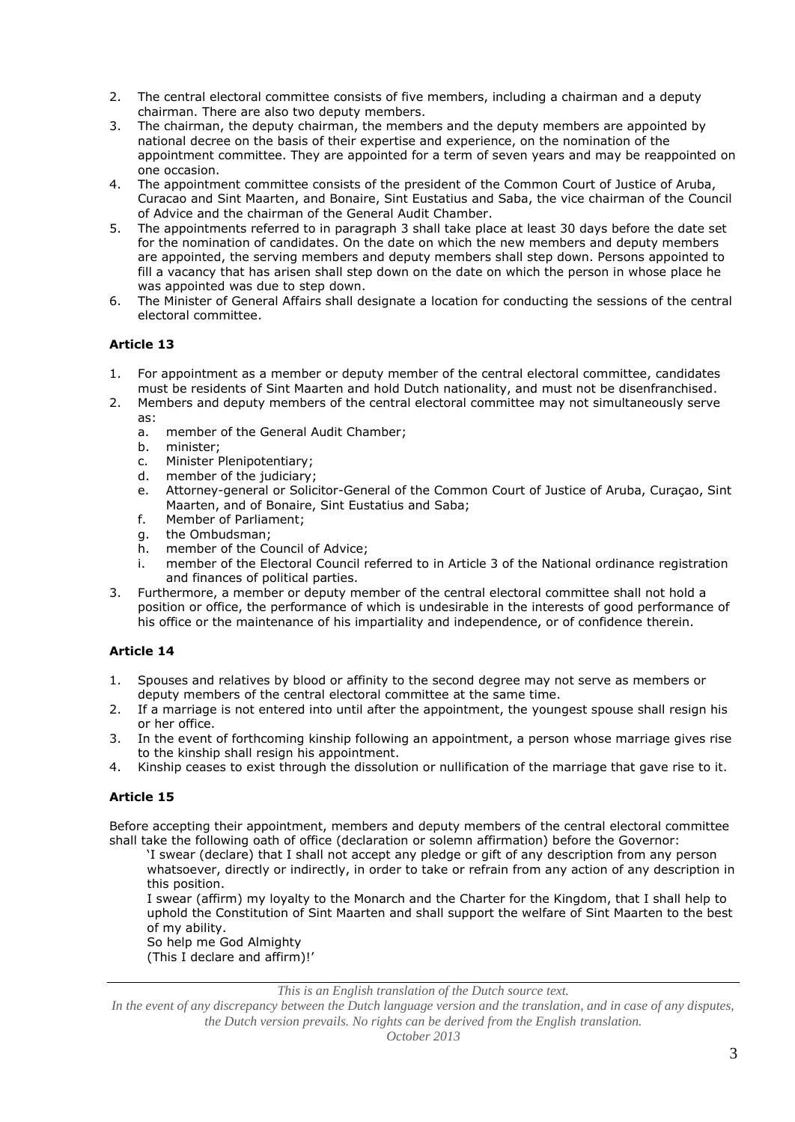- 2. The central electoral committee consists of five members, including a chairman and a deputy chairman. There are also two deputy members.
- 3. The chairman, the deputy chairman, the members and the deputy members are appointed by national decree on the basis of their expertise and experience, on the nomination of the appointment committee. They are appointed for a term of seven years and may be reappointed on one occasion.
- 4. The appointment committee consists of the president of the Common Court of Justice of Aruba, Curacao and Sint Maarten, and Bonaire, Sint Eustatius and Saba, the vice chairman of the Council of Advice and the chairman of the General Audit Chamber.
- 5. The appointments referred to in paragraph 3 shall take place at least 30 days before the date set for the nomination of candidates. On the date on which the new members and deputy members are appointed, the serving members and deputy members shall step down. Persons appointed to fill a vacancy that has arisen shall step down on the date on which the person in whose place he was appointed was due to step down.
- 6. The Minister of General Affairs shall designate a location for conducting the sessions of the central electoral committee.

- 1. For appointment as a member or deputy member of the central electoral committee, candidates must be residents of Sint Maarten and hold Dutch nationality, and must not be disenfranchised.
- 2. Members and deputy members of the central electoral committee may not simultaneously serve as:
	- a. member of the General Audit Chamber;
	- b. minister;
	- c. Minister Plenipotentiary;<br>d. member of the judiciary:
	- member of the judiciary;
	- e. Attorney-general or Solicitor-General of the Common Court of Justice of Aruba, Curaçao, Sint Maarten, and of Bonaire, Sint Eustatius and Saba;
	- f. Member of Parliament;
	- g. the Ombudsman;
	- h. member of the Council of Advice;
	- i. member of the Electoral Council referred to in Article 3 of the National ordinance registration and finances of political parties.
- 3. Furthermore, a member or deputy member of the central electoral committee shall not hold a position or office, the performance of which is undesirable in the interests of good performance of his office or the maintenance of his impartiality and independence, or of confidence therein.

# **Article 14**

- 1. Spouses and relatives by blood or affinity to the second degree may not serve as members or deputy members of the central electoral committee at the same time.
- 2. If a marriage is not entered into until after the appointment, the youngest spouse shall resign his or her office.
- 3. In the event of forthcoming kinship following an appointment, a person whose marriage gives rise to the kinship shall resign his appointment.
- 4. Kinship ceases to exist through the dissolution or nullification of the marriage that gave rise to it.

# **Article 15**

Before accepting their appointment, members and deputy members of the central electoral committee shall take the following oath of office (declaration or solemn affirmation) before the Governor:

'I swear (declare) that I shall not accept any pledge or gift of any description from any person whatsoever, directly or indirectly, in order to take or refrain from any action of any description in this position.

I swear (affirm) my loyalty to the Monarch and the Charter for the Kingdom, that I shall help to uphold the Constitution of Sint Maarten and shall support the welfare of Sint Maarten to the best of my ability.

So help me God Almighty (This I declare and affirm)!'

*This is an English translation of the Dutch source text.*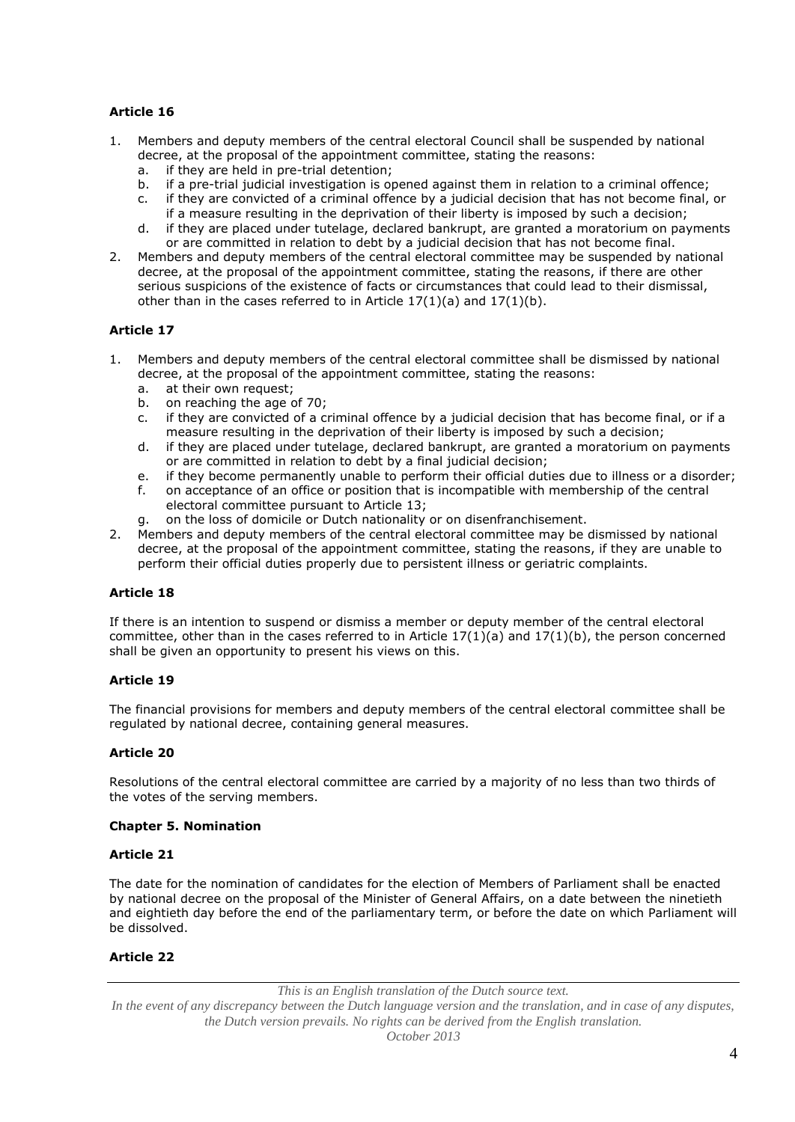- 1. Members and deputy members of the central electoral Council shall be suspended by national decree, at the proposal of the appointment committee, stating the reasons:
	- a. if they are held in pre-trial detention;
	- b. if a pre-trial judicial investigation is opened against them in relation to a criminal offence;
	- c. if they are convicted of a criminal offence by a judicial decision that has not become final, or if a measure resulting in the deprivation of their liberty is imposed by such a decision;
	- d. if they are placed under tutelage, declared bankrupt, are granted a moratorium on payments or are committed in relation to debt by a judicial decision that has not become final.
- 2. Members and deputy members of the central electoral committee may be suspended by national decree, at the proposal of the appointment committee, stating the reasons, if there are other serious suspicions of the existence of facts or circumstances that could lead to their dismissal, other than in the cases referred to in Article  $17(1)(a)$  and  $17(1)(b)$ .

# **Article 17**

- 1. Members and deputy members of the central electoral committee shall be dismissed by national decree, at the proposal of the appointment committee, stating the reasons:
	- a. at their own request;<br>b. on reaching the age of
	- on reaching the age of 70;
	- c. if they are convicted of a criminal offence by a judicial decision that has become final, or if a measure resulting in the deprivation of their liberty is imposed by such a decision;
	- d. if they are placed under tutelage, declared bankrupt, are granted a moratorium on payments or are committed in relation to debt by a final judicial decision;
	- e. if they become permanently unable to perform their official duties due to illness or a disorder;
	- f. on acceptance of an office or position that is incompatible with membership of the central electoral committee pursuant to Article 13;
	- g. on the loss of domicile or Dutch nationality or on disenfranchisement.
- 2. Members and deputy members of the central electoral committee may be dismissed by national decree, at the proposal of the appointment committee, stating the reasons, if they are unable to perform their official duties properly due to persistent illness or geriatric complaints.

## **Article 18**

If there is an intention to suspend or dismiss a member or deputy member of the central electoral committee, other than in the cases referred to in Article  $17(1)(a)$  and  $17(1)(b)$ , the person concerned shall be given an opportunity to present his views on this.

## **Article 19**

The financial provisions for members and deputy members of the central electoral committee shall be regulated by national decree, containing general measures.

## **Article 20**

Resolutions of the central electoral committee are carried by a majority of no less than two thirds of the votes of the serving members.

## **Chapter 5. Nomination**

#### **Article 21**

The date for the nomination of candidates for the election of Members of Parliament shall be enacted by national decree on the proposal of the Minister of General Affairs, on a date between the ninetieth and eightieth day before the end of the parliamentary term, or before the date on which Parliament will be dissolved.

## **Article 22**

*This is an English translation of the Dutch source text.*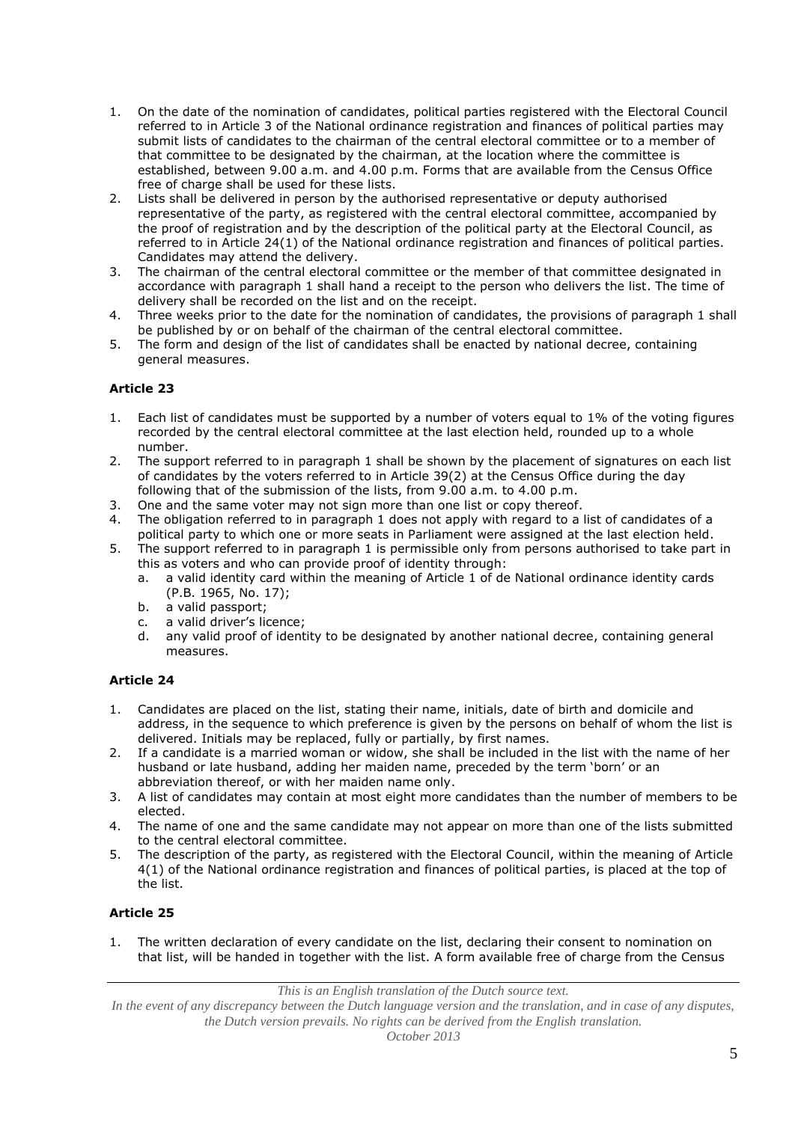- 1. On the date of the nomination of candidates, political parties registered with the Electoral Council referred to in Article 3 of the National ordinance registration and finances of political parties may submit lists of candidates to the chairman of the central electoral committee or to a member of that committee to be designated by the chairman, at the location where the committee is established, between 9.00 a.m. and 4.00 p.m. Forms that are available from the Census Office free of charge shall be used for these lists.
- 2. Lists shall be delivered in person by the authorised representative or deputy authorised representative of the party, as registered with the central electoral committee, accompanied by the proof of registration and by the description of the political party at the Electoral Council, as referred to in Article 24(1) of the National ordinance registration and finances of political parties. Candidates may attend the delivery.
- 3. The chairman of the central electoral committee or the member of that committee designated in accordance with paragraph 1 shall hand a receipt to the person who delivers the list. The time of delivery shall be recorded on the list and on the receipt.
- 4. Three weeks prior to the date for the nomination of candidates, the provisions of paragraph 1 shall be published by or on behalf of the chairman of the central electoral committee.
- 5. The form and design of the list of candidates shall be enacted by national decree, containing general measures.

- 1. Each list of candidates must be supported by a number of voters equal to 1% of the voting figures recorded by the central electoral committee at the last election held, rounded up to a whole number.
- 2. The support referred to in paragraph 1 shall be shown by the placement of signatures on each list of candidates by the voters referred to in Article 39(2) at the Census Office during the day following that of the submission of the lists, from 9.00 a.m. to 4.00 p.m.
- 3. One and the same voter may not sign more than one list or copy thereof.
- 4. The obligation referred to in paragraph 1 does not apply with regard to a list of candidates of a political party to which one or more seats in Parliament were assigned at the last election held.
- 5. The support referred to in paragraph 1 is permissible only from persons authorised to take part in this as voters and who can provide proof of identity through:
	- a. a valid identity card within the meaning of Article 1 of de National ordinance identity cards (P.B. 1965, No. 17);
	- b. a valid passport;
	- c. a valid driver's licence;
	- d. any valid proof of identity to be designated by another national decree, containing general measures.

# **Article 24**

- 1. Candidates are placed on the list, stating their name, initials, date of birth and domicile and address, in the sequence to which preference is given by the persons on behalf of whom the list is delivered. Initials may be replaced, fully or partially, by first names.
- 2. If a candidate is a married woman or widow, she shall be included in the list with the name of her husband or late husband, adding her maiden name, preceded by the term 'born' or an abbreviation thereof, or with her maiden name only.
- 3. A list of candidates may contain at most eight more candidates than the number of members to be elected.
- 4. The name of one and the same candidate may not appear on more than one of the lists submitted to the central electoral committee.
- 5. The description of the party, as registered with the Electoral Council, within the meaning of Article 4(1) of the National ordinance registration and finances of political parties, is placed at the top of the list.

# **Article 25**

1. The written declaration of every candidate on the list, declaring their consent to nomination on that list, will be handed in together with the list. A form available free of charge from the Census

*This is an English translation of the Dutch source text.*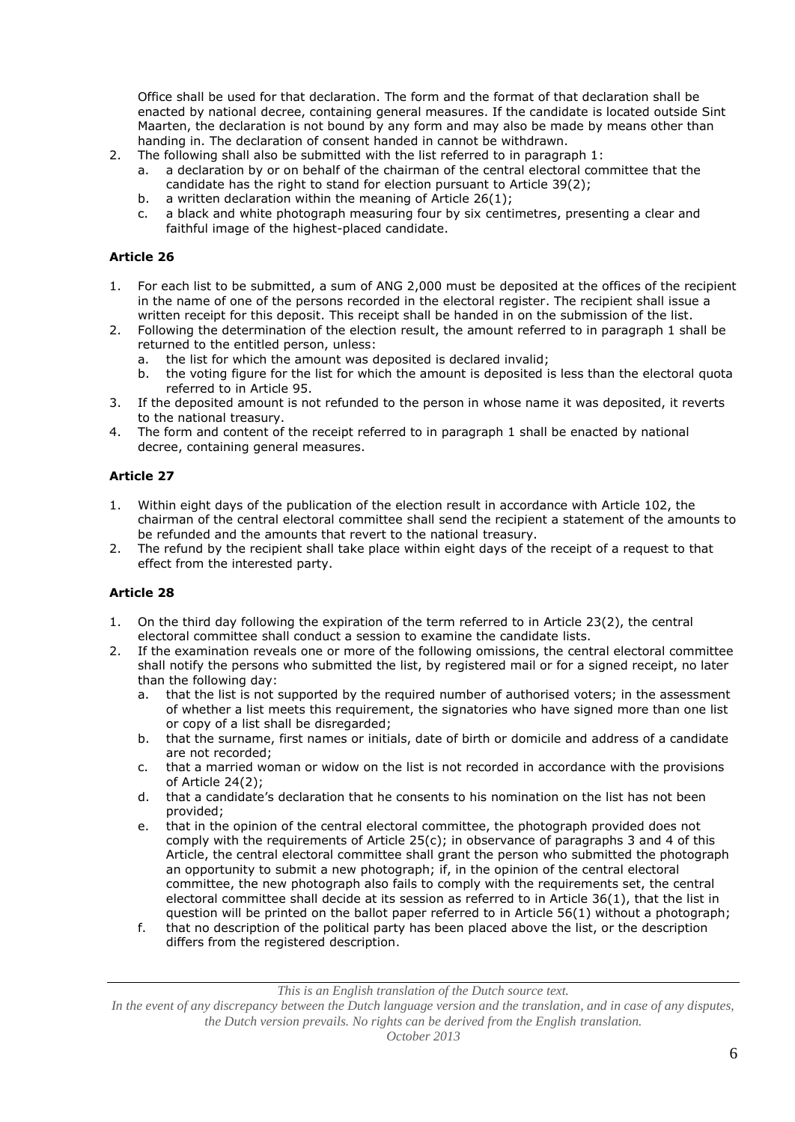Office shall be used for that declaration. The form and the format of that declaration shall be enacted by national decree, containing general measures. If the candidate is located outside Sint Maarten, the declaration is not bound by any form and may also be made by means other than handing in. The declaration of consent handed in cannot be withdrawn.

- 2. The following shall also be submitted with the list referred to in paragraph 1:
	- a. a declaration by or on behalf of the chairman of the central electoral committee that the candidate has the right to stand for election pursuant to Article 39(2);
	- b. a written declaration within the meaning of Article 26(1);
	- c. a black and white photograph measuring four by six centimetres, presenting a clear and faithful image of the highest-placed candidate.

#### **Article 26**

- 1. For each list to be submitted, a sum of ANG 2,000 must be deposited at the offices of the recipient in the name of one of the persons recorded in the electoral register. The recipient shall issue a written receipt for this deposit. This receipt shall be handed in on the submission of the list.
- 2. Following the determination of the election result, the amount referred to in paragraph 1 shall be returned to the entitled person, unless:
	- a. the list for which the amount was deposited is declared invalid;
	- b. the voting figure for the list for which the amount is deposited is less than the electoral quota referred to in Article 95.
- 3. If the deposited amount is not refunded to the person in whose name it was deposited, it reverts to the national treasury.
- 4. The form and content of the receipt referred to in paragraph 1 shall be enacted by national decree, containing general measures.

### **Article 27**

- 1. Within eight days of the publication of the election result in accordance with Article 102, the chairman of the central electoral committee shall send the recipient a statement of the amounts to be refunded and the amounts that revert to the national treasury.
- 2. The refund by the recipient shall take place within eight days of the receipt of a request to that effect from the interested party.

## **Article 28**

- 1. On the third day following the expiration of the term referred to in Article 23(2), the central electoral committee shall conduct a session to examine the candidate lists.
- 2. If the examination reveals one or more of the following omissions, the central electoral committee shall notify the persons who submitted the list, by registered mail or for a signed receipt, no later than the following day:
	- a. that the list is not supported by the required number of authorised voters; in the assessment of whether a list meets this requirement, the signatories who have signed more than one list or copy of a list shall be disregarded;
	- b. that the surname, first names or initials, date of birth or domicile and address of a candidate are not recorded;
	- c. that a married woman or widow on the list is not recorded in accordance with the provisions of Article 24(2);
	- d. that a candidate's declaration that he consents to his nomination on the list has not been provided;
	- e. that in the opinion of the central electoral committee, the photograph provided does not comply with the requirements of Article 25(c); in observance of paragraphs 3 and 4 of this Article, the central electoral committee shall grant the person who submitted the photograph an opportunity to submit a new photograph; if, in the opinion of the central electoral committee, the new photograph also fails to comply with the requirements set, the central electoral committee shall decide at its session as referred to in Article 36(1), that the list in question will be printed on the ballot paper referred to in Article 56(1) without a photograph;
	- f. that no description of the political party has been placed above the list, or the description differs from the registered description.

*This is an English translation of the Dutch source text.*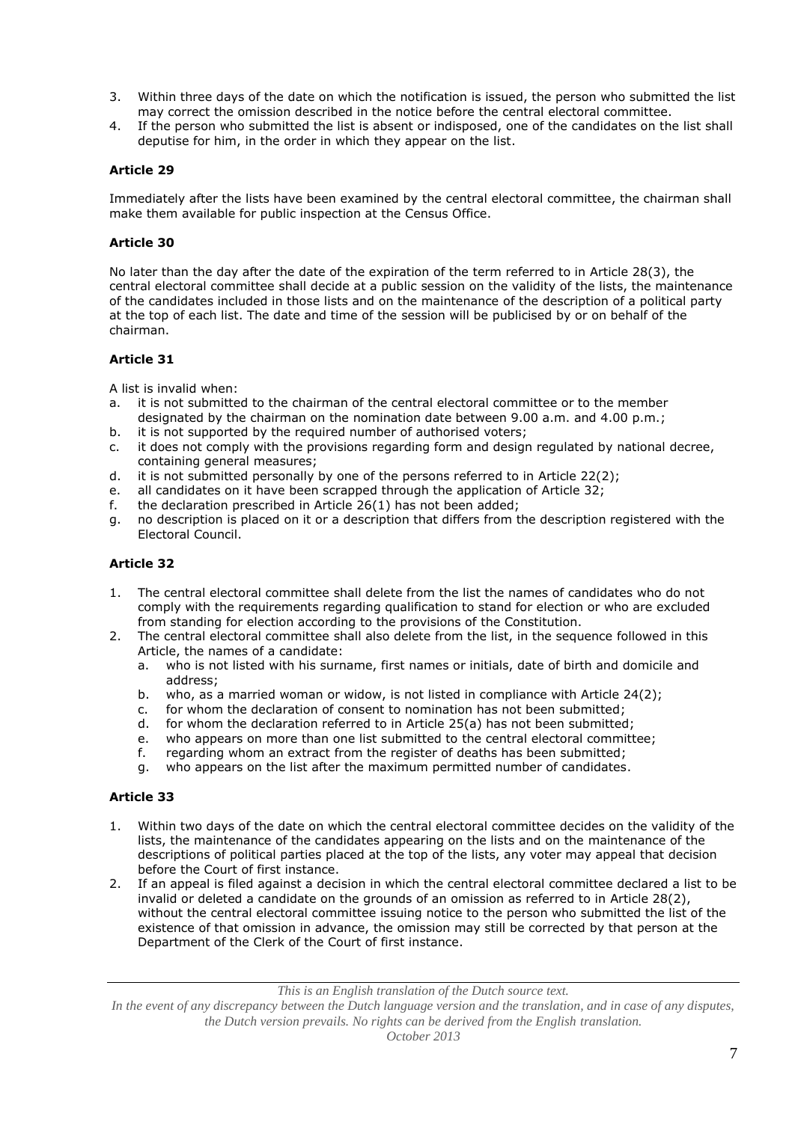- 3. Within three days of the date on which the notification is issued, the person who submitted the list may correct the omission described in the notice before the central electoral committee.
- 4. If the person who submitted the list is absent or indisposed, one of the candidates on the list shall deputise for him, in the order in which they appear on the list.

Immediately after the lists have been examined by the central electoral committee, the chairman shall make them available for public inspection at the Census Office.

### **Article 30**

No later than the day after the date of the expiration of the term referred to in Article 28(3), the central electoral committee shall decide at a public session on the validity of the lists, the maintenance of the candidates included in those lists and on the maintenance of the description of a political party at the top of each list. The date and time of the session will be publicised by or on behalf of the chairman.

### **Article 31**

A list is invalid when:

- a. it is not submitted to the chairman of the central electoral committee or to the member designated by the chairman on the nomination date between 9.00 a.m. and 4.00 p.m.;
- b. it is not supported by the required number of authorised voters;
- c. it does not comply with the provisions regarding form and design regulated by national decree, containing general measures;
- d. it is not submitted personally by one of the persons referred to in Article 22(2);
- e. all candidates on it have been scrapped through the application of Article 32;
- f. the declaration prescribed in Article 26(1) has not been added;
- g. no description is placed on it or a description that differs from the description registered with the Electoral Council.

## **Article 32**

- 1. The central electoral committee shall delete from the list the names of candidates who do not comply with the requirements regarding qualification to stand for election or who are excluded from standing for election according to the provisions of the Constitution.
- 2. The central electoral committee shall also delete from the list, in the sequence followed in this Article, the names of a candidate:
	- a. who is not listed with his surname, first names or initials, date of birth and domicile and address;
	- b. who, as a married woman or widow, is not listed in compliance with Article 24(2);
	- c. for whom the declaration of consent to nomination has not been submitted;
	- d. for whom the declaration referred to in Article 25(a) has not been submitted;
	- e. who appears on more than one list submitted to the central electoral committee;
	- f. regarding whom an extract from the register of deaths has been submitted;
	- g. who appears on the list after the maximum permitted number of candidates.

#### **Article 33**

- 1. Within two days of the date on which the central electoral committee decides on the validity of the lists, the maintenance of the candidates appearing on the lists and on the maintenance of the descriptions of political parties placed at the top of the lists, any voter may appeal that decision before the Court of first instance.
- 2. If an appeal is filed against a decision in which the central electoral committee declared a list to be invalid or deleted a candidate on the grounds of an omission as referred to in Article 28(2), without the central electoral committee issuing notice to the person who submitted the list of the existence of that omission in advance, the omission may still be corrected by that person at the Department of the Clerk of the Court of first instance.

*This is an English translation of the Dutch source text.*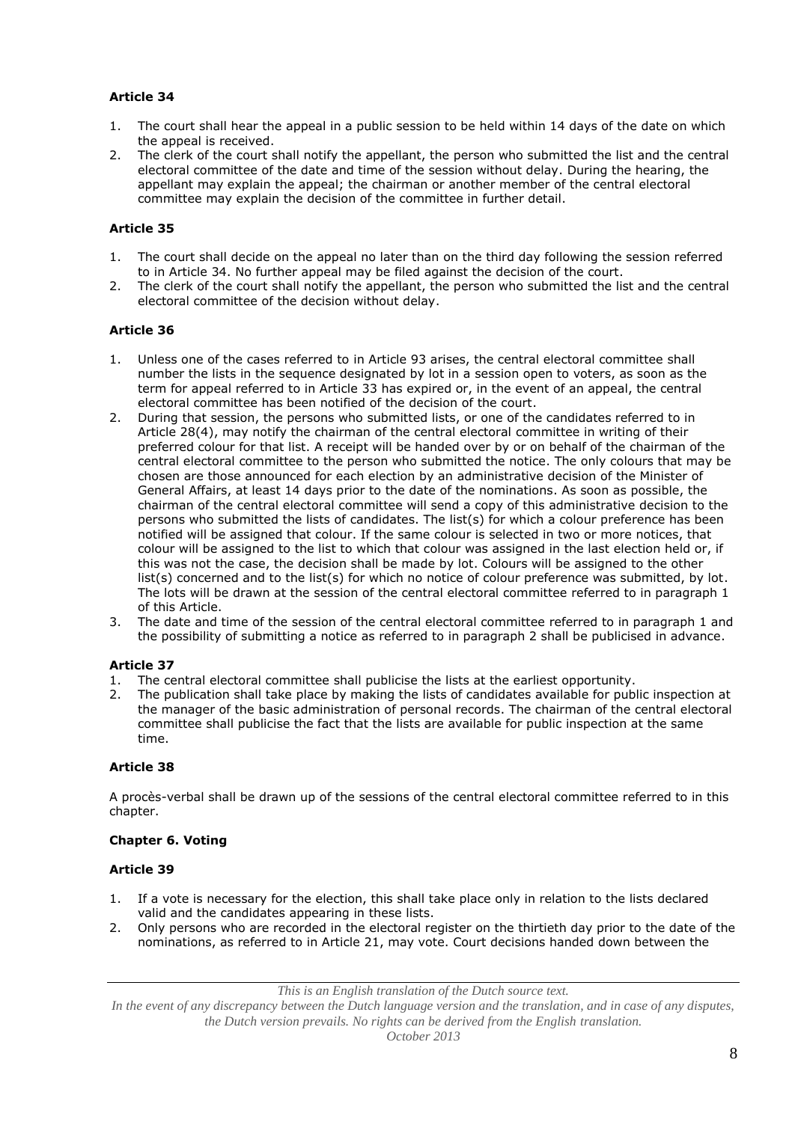- 1. The court shall hear the appeal in a public session to be held within 14 days of the date on which the appeal is received.
- 2. The clerk of the court shall notify the appellant, the person who submitted the list and the central electoral committee of the date and time of the session without delay. During the hearing, the appellant may explain the appeal; the chairman or another member of the central electoral committee may explain the decision of the committee in further detail.

# **Article 35**

- 1. The court shall decide on the appeal no later than on the third day following the session referred to in Article 34. No further appeal may be filed against the decision of the court.
- 2. The clerk of the court shall notify the appellant, the person who submitted the list and the central electoral committee of the decision without delay.

## **Article 36**

- 1. Unless one of the cases referred to in Article 93 arises, the central electoral committee shall number the lists in the sequence designated by lot in a session open to voters, as soon as the term for appeal referred to in Article 33 has expired or, in the event of an appeal, the central electoral committee has been notified of the decision of the court.
- 2. During that session, the persons who submitted lists, or one of the candidates referred to in Article 28(4), may notify the chairman of the central electoral committee in writing of their preferred colour for that list. A receipt will be handed over by or on behalf of the chairman of the central electoral committee to the person who submitted the notice. The only colours that may be chosen are those announced for each election by an administrative decision of the Minister of General Affairs, at least 14 days prior to the date of the nominations. As soon as possible, the chairman of the central electoral committee will send a copy of this administrative decision to the persons who submitted the lists of candidates. The list(s) for which a colour preference has been notified will be assigned that colour. If the same colour is selected in two or more notices, that colour will be assigned to the list to which that colour was assigned in the last election held or, if this was not the case, the decision shall be made by lot. Colours will be assigned to the other list(s) concerned and to the list(s) for which no notice of colour preference was submitted, by lot. The lots will be drawn at the session of the central electoral committee referred to in paragraph 1 of this Article.
- 3. The date and time of the session of the central electoral committee referred to in paragraph 1 and the possibility of submitting a notice as referred to in paragraph 2 shall be publicised in advance.

## **Article 37**

- 1. The central electoral committee shall publicise the lists at the earliest opportunity.
- 2. The publication shall take place by making the lists of candidates available for public inspection at the manager of the basic administration of personal records. The chairman of the central electoral committee shall publicise the fact that the lists are available for public inspection at the same time.

## **Article 38**

A procès-verbal shall be drawn up of the sessions of the central electoral committee referred to in this chapter.

## **Chapter 6. Voting**

## **Article 39**

- 1. If a vote is necessary for the election, this shall take place only in relation to the lists declared valid and the candidates appearing in these lists.
- 2. Only persons who are recorded in the electoral register on the thirtieth day prior to the date of the nominations, as referred to in Article 21, may vote. Court decisions handed down between the

*This is an English translation of the Dutch source text.*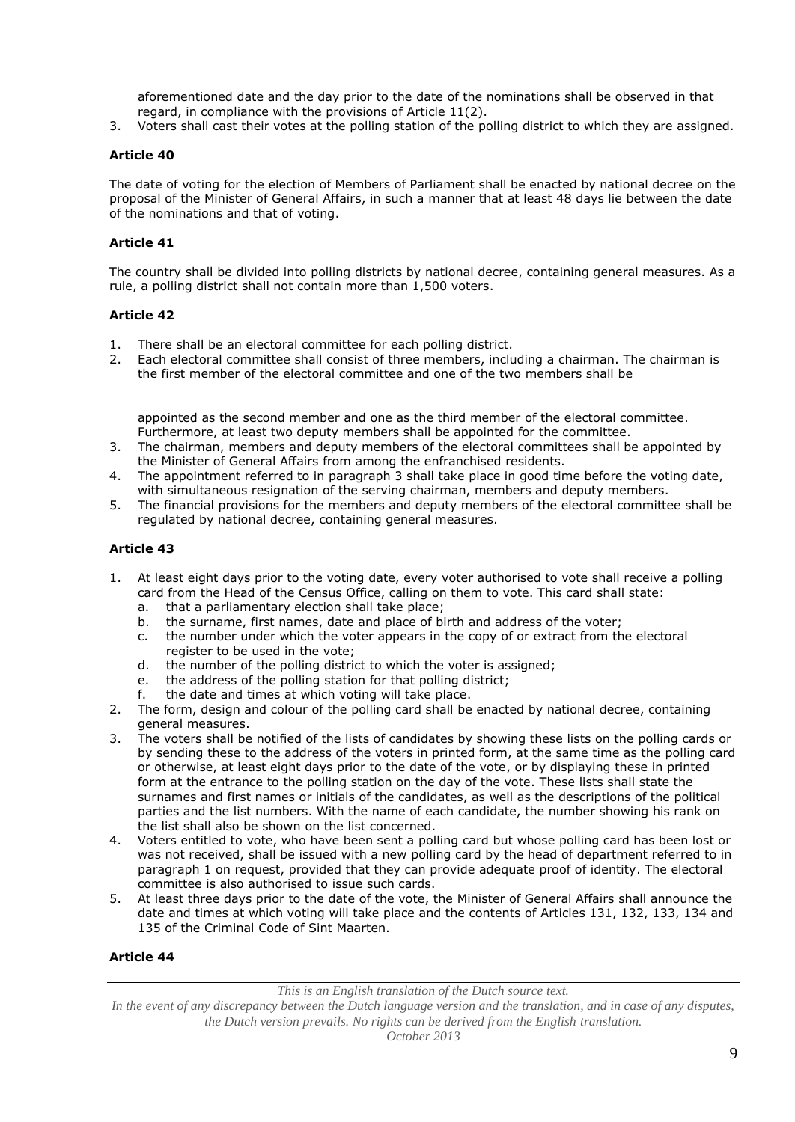aforementioned date and the day prior to the date of the nominations shall be observed in that regard, in compliance with the provisions of Article 11(2).

3. Voters shall cast their votes at the polling station of the polling district to which they are assigned.

### **Article 40**

The date of voting for the election of Members of Parliament shall be enacted by national decree on the proposal of the Minister of General Affairs, in such a manner that at least 48 days lie between the date of the nominations and that of voting.

### **Article 41**

The country shall be divided into polling districts by national decree, containing general measures. As a rule, a polling district shall not contain more than 1,500 voters.

### **Article 42**

- 1. There shall be an electoral committee for each polling district.
- 2. Each electoral committee shall consist of three members, including a chairman. The chairman is the first member of the electoral committee and one of the two members shall be

appointed as the second member and one as the third member of the electoral committee. Furthermore, at least two deputy members shall be appointed for the committee.

- 3. The chairman, members and deputy members of the electoral committees shall be appointed by the Minister of General Affairs from among the enfranchised residents.
- 4. The appointment referred to in paragraph 3 shall take place in good time before the voting date, with simultaneous resignation of the serving chairman, members and deputy members.
- 5. The financial provisions for the members and deputy members of the electoral committee shall be regulated by national decree, containing general measures.

### **Article 43**

- 1. At least eight days prior to the voting date, every voter authorised to vote shall receive a polling card from the Head of the Census Office, calling on them to vote. This card shall state:
	- a. that a parliamentary election shall take place;
	- b. the surname, first names, date and place of birth and address of the voter;
	- c. the number under which the voter appears in the copy of or extract from the electoral register to be used in the vote;
	- d. the number of the polling district to which the voter is assigned;
	- e. the address of the polling station for that polling district;
	- f. the date and times at which voting will take place.
- 2. The form, design and colour of the polling card shall be enacted by national decree, containing general measures.
- 3. The voters shall be notified of the lists of candidates by showing these lists on the polling cards or by sending these to the address of the voters in printed form, at the same time as the polling card or otherwise, at least eight days prior to the date of the vote, or by displaying these in printed form at the entrance to the polling station on the day of the vote. These lists shall state the surnames and first names or initials of the candidates, as well as the descriptions of the political parties and the list numbers. With the name of each candidate, the number showing his rank on the list shall also be shown on the list concerned.
- 4. Voters entitled to vote, who have been sent a polling card but whose polling card has been lost or was not received, shall be issued with a new polling card by the head of department referred to in paragraph 1 on request, provided that they can provide adequate proof of identity. The electoral committee is also authorised to issue such cards.
- 5. At least three days prior to the date of the vote, the Minister of General Affairs shall announce the date and times at which voting will take place and the contents of Articles 131, 132, 133, 134 and 135 of the Criminal Code of Sint Maarten.

## **Article 44**

*This is an English translation of the Dutch source text.*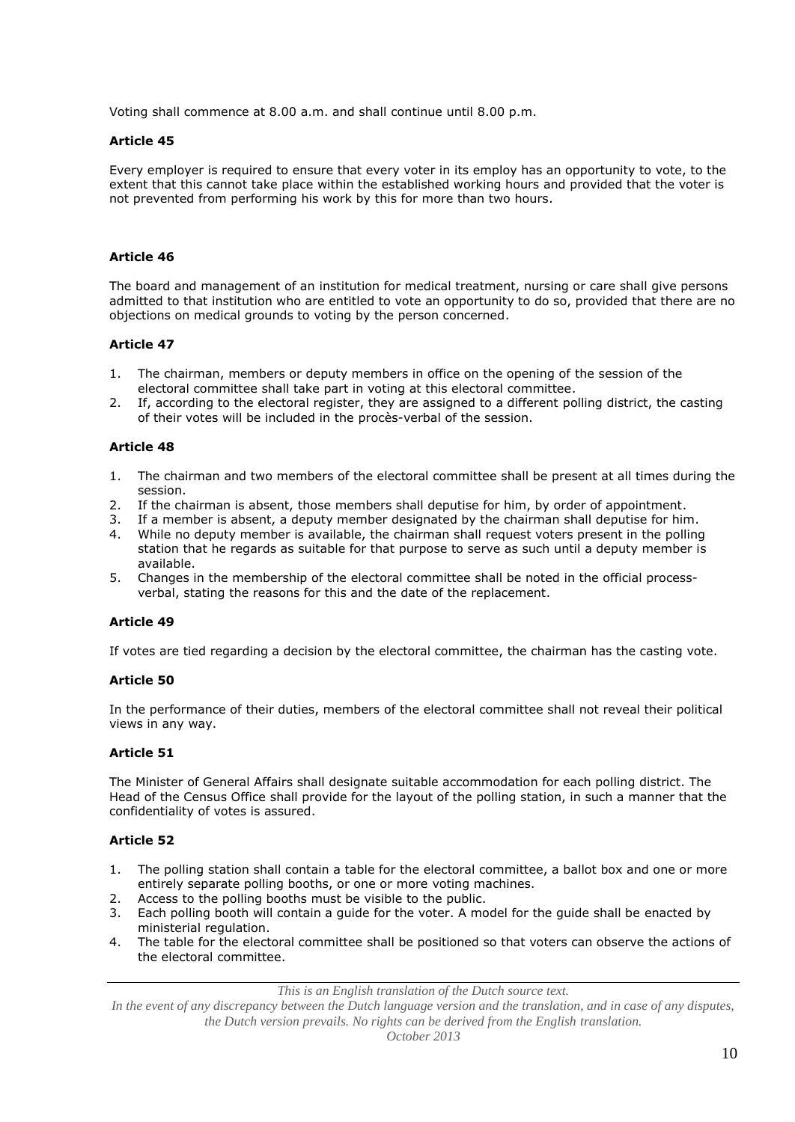Voting shall commence at 8.00 a.m. and shall continue until 8.00 p.m.

### **Article 45**

Every employer is required to ensure that every voter in its employ has an opportunity to vote, to the extent that this cannot take place within the established working hours and provided that the voter is not prevented from performing his work by this for more than two hours.

### **Article 46**

The board and management of an institution for medical treatment, nursing or care shall give persons admitted to that institution who are entitled to vote an opportunity to do so, provided that there are no objections on medical grounds to voting by the person concerned.

### **Article 47**

- 1. The chairman, members or deputy members in office on the opening of the session of the electoral committee shall take part in voting at this electoral committee.
- 2. If, according to the electoral register, they are assigned to a different polling district, the casting of their votes will be included in the procès-verbal of the session.

### **Article 48**

- 1. The chairman and two members of the electoral committee shall be present at all times during the session.
- 2. If the chairman is absent, those members shall deputise for him, by order of appointment.
- 3. If a member is absent, a deputy member designated by the chairman shall deputise for him.
- 4. While no deputy member is available, the chairman shall request voters present in the polling station that he regards as suitable for that purpose to serve as such until a deputy member is available.
- 5. Changes in the membership of the electoral committee shall be noted in the official processverbal, stating the reasons for this and the date of the replacement.

## **Article 49**

If votes are tied regarding a decision by the electoral committee, the chairman has the casting vote.

#### **Article 50**

In the performance of their duties, members of the electoral committee shall not reveal their political views in any way.

#### **Article 51**

The Minister of General Affairs shall designate suitable accommodation for each polling district. The Head of the Census Office shall provide for the layout of the polling station, in such a manner that the confidentiality of votes is assured.

## **Article 52**

- 1. The polling station shall contain a table for the electoral committee, a ballot box and one or more entirely separate polling booths, or one or more voting machines.
- 2. Access to the polling booths must be visible to the public.
- 3. Each polling booth will contain a guide for the voter. A model for the guide shall be enacted by ministerial regulation.
- 4. The table for the electoral committee shall be positioned so that voters can observe the actions of the electoral committee.

*This is an English translation of the Dutch source text.*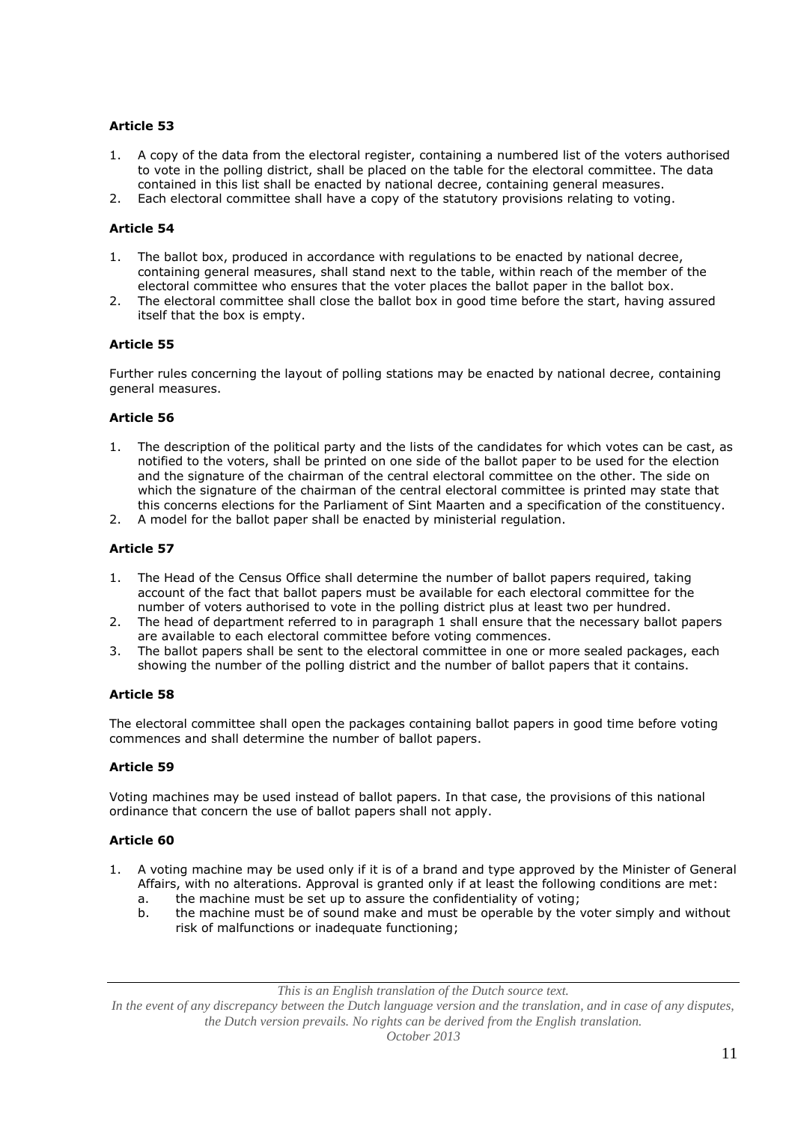- 1. A copy of the data from the electoral register, containing a numbered list of the voters authorised to vote in the polling district, shall be placed on the table for the electoral committee. The data contained in this list shall be enacted by national decree, containing general measures.
- 2. Each electoral committee shall have a copy of the statutory provisions relating to voting.

## **Article 54**

- 1. The ballot box, produced in accordance with regulations to be enacted by national decree, containing general measures, shall stand next to the table, within reach of the member of the electoral committee who ensures that the voter places the ballot paper in the ballot box.
- 2. The electoral committee shall close the ballot box in good time before the start, having assured itself that the box is empty.

## **Article 55**

Further rules concerning the layout of polling stations may be enacted by national decree, containing general measures.

### **Article 56**

- 1. The description of the political party and the lists of the candidates for which votes can be cast, as notified to the voters, shall be printed on one side of the ballot paper to be used for the election and the signature of the chairman of the central electoral committee on the other. The side on which the signature of the chairman of the central electoral committee is printed may state that this concerns elections for the Parliament of Sint Maarten and a specification of the constituency.
- 2. A model for the ballot paper shall be enacted by ministerial regulation.

# **Article 57**

- 1. The Head of the Census Office shall determine the number of ballot papers required, taking account of the fact that ballot papers must be available for each electoral committee for the number of voters authorised to vote in the polling district plus at least two per hundred.
- 2. The head of department referred to in paragraph 1 shall ensure that the necessary ballot papers are available to each electoral committee before voting commences.
- 3. The ballot papers shall be sent to the electoral committee in one or more sealed packages, each showing the number of the polling district and the number of ballot papers that it contains.

## **Article 58**

The electoral committee shall open the packages containing ballot papers in good time before voting commences and shall determine the number of ballot papers.

## **Article 59**

Voting machines may be used instead of ballot papers. In that case, the provisions of this national ordinance that concern the use of ballot papers shall not apply.

## **Article 60**

- 1. A voting machine may be used only if it is of a brand and type approved by the Minister of General Affairs, with no alterations. Approval is granted only if at least the following conditions are met:
	- a. the machine must be set up to assure the confidentiality of voting;
	- b. the machine must be of sound make and must be operable by the voter simply and without risk of malfunctions or inadequate functioning;

*This is an English translation of the Dutch source text.*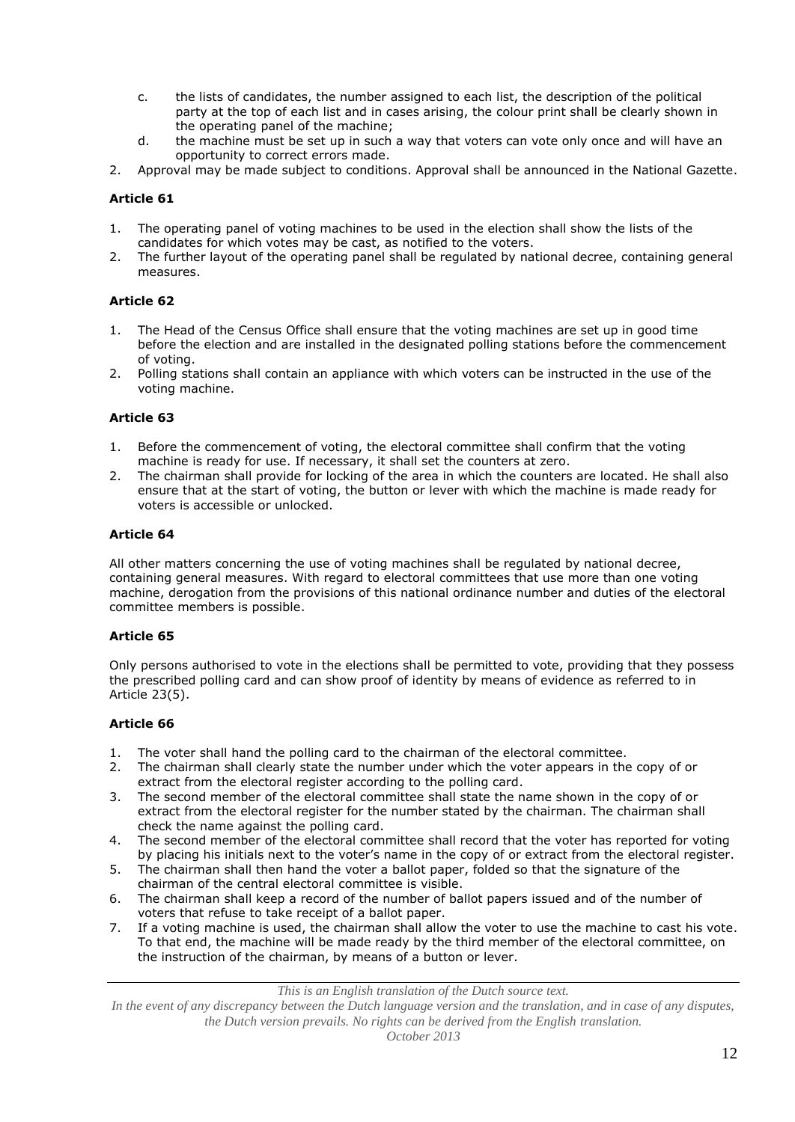- c. the lists of candidates, the number assigned to each list, the description of the political party at the top of each list and in cases arising, the colour print shall be clearly shown in the operating panel of the machine;
- d. the machine must be set up in such a way that voters can vote only once and will have an opportunity to correct errors made.
- 2. Approval may be made subject to conditions. Approval shall be announced in the National Gazette.

- 1. The operating panel of voting machines to be used in the election shall show the lists of the candidates for which votes may be cast, as notified to the voters.
- 2. The further layout of the operating panel shall be regulated by national decree, containing general measures.

## **Article 62**

- 1. The Head of the Census Office shall ensure that the voting machines are set up in good time before the election and are installed in the designated polling stations before the commencement of voting.
- 2. Polling stations shall contain an appliance with which voters can be instructed in the use of the voting machine.

### **Article 63**

- 1. Before the commencement of voting, the electoral committee shall confirm that the voting machine is ready for use. If necessary, it shall set the counters at zero.
- 2. The chairman shall provide for locking of the area in which the counters are located. He shall also ensure that at the start of voting, the button or lever with which the machine is made ready for voters is accessible or unlocked.

### **Article 64**

All other matters concerning the use of voting machines shall be regulated by national decree, containing general measures. With regard to electoral committees that use more than one voting machine, derogation from the provisions of this national ordinance number and duties of the electoral committee members is possible.

#### **Article 65**

Only persons authorised to vote in the elections shall be permitted to vote, providing that they possess the prescribed polling card and can show proof of identity by means of evidence as referred to in Article 23(5).

### **Article 66**

- 1. The voter shall hand the polling card to the chairman of the electoral committee.
- 2. The chairman shall clearly state the number under which the voter appears in the copy of or extract from the electoral register according to the polling card.
- 3. The second member of the electoral committee shall state the name shown in the copy of or extract from the electoral register for the number stated by the chairman. The chairman shall check the name against the polling card.
- 4. The second member of the electoral committee shall record that the voter has reported for voting by placing his initials next to the voter's name in the copy of or extract from the electoral register.
- 5. The chairman shall then hand the voter a ballot paper, folded so that the signature of the chairman of the central electoral committee is visible.
- 6. The chairman shall keep a record of the number of ballot papers issued and of the number of voters that refuse to take receipt of a ballot paper.
- 7. If a voting machine is used, the chairman shall allow the voter to use the machine to cast his vote. To that end, the machine will be made ready by the third member of the electoral committee, on the instruction of the chairman, by means of a button or lever.

*This is an English translation of the Dutch source text.*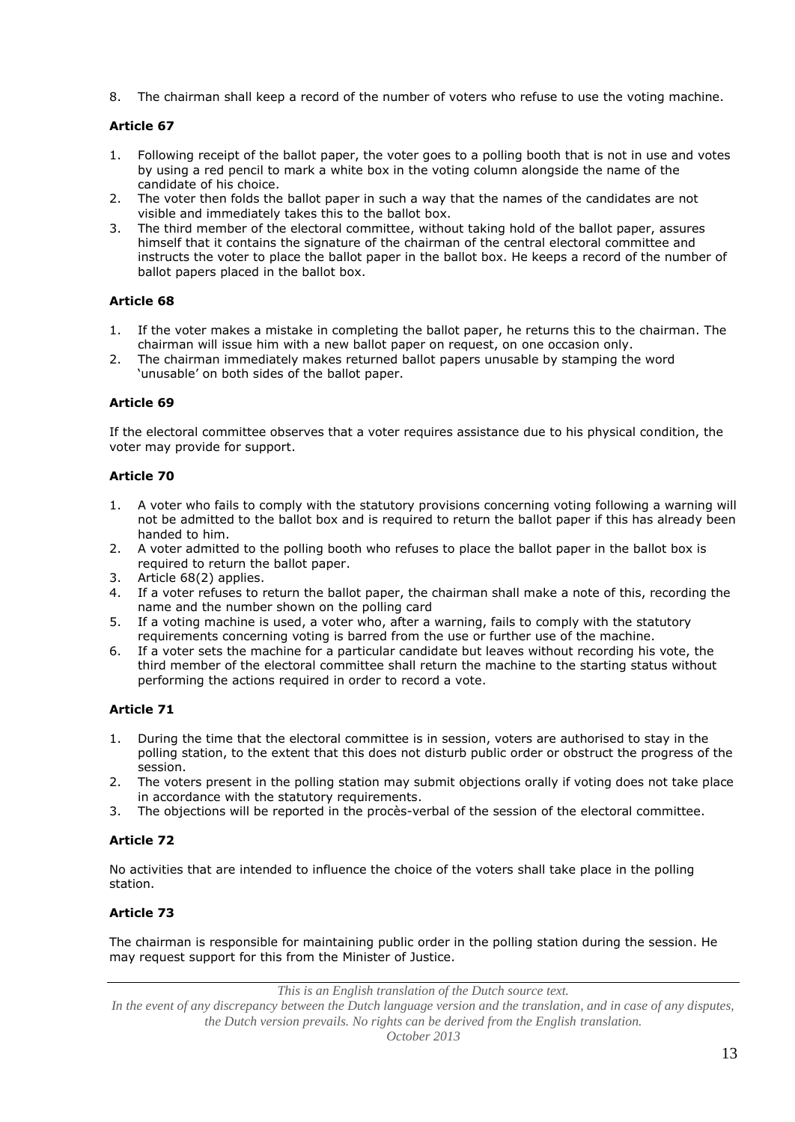8. The chairman shall keep a record of the number of voters who refuse to use the voting machine.

# **Article 67**

- 1. Following receipt of the ballot paper, the voter goes to a polling booth that is not in use and votes by using a red pencil to mark a white box in the voting column alongside the name of the candidate of his choice.
- 2. The voter then folds the ballot paper in such a way that the names of the candidates are not visible and immediately takes this to the ballot box.
- 3. The third member of the electoral committee, without taking hold of the ballot paper, assures himself that it contains the signature of the chairman of the central electoral committee and instructs the voter to place the ballot paper in the ballot box. He keeps a record of the number of ballot papers placed in the ballot box.

# **Article 68**

- 1. If the voter makes a mistake in completing the ballot paper, he returns this to the chairman. The chairman will issue him with a new ballot paper on request, on one occasion only.
- 2. The chairman immediately makes returned ballot papers unusable by stamping the word 'unusable' on both sides of the ballot paper.

# **Article 69**

If the electoral committee observes that a voter requires assistance due to his physical condition, the voter may provide for support.

# **Article 70**

- 1. A voter who fails to comply with the statutory provisions concerning voting following a warning will not be admitted to the ballot box and is required to return the ballot paper if this has already been handed to him.
- 2. A voter admitted to the polling booth who refuses to place the ballot paper in the ballot box is required to return the ballot paper.
- 3. Article 68(2) applies.
- 4. If a voter refuses to return the ballot paper, the chairman shall make a note of this, recording the name and the number shown on the polling card
- 5. If a voting machine is used, a voter who, after a warning, fails to comply with the statutory requirements concerning voting is barred from the use or further use of the machine.
- 6. If a voter sets the machine for a particular candidate but leaves without recording his vote, the third member of the electoral committee shall return the machine to the starting status without performing the actions required in order to record a vote.

# **Article 71**

- 1. During the time that the electoral committee is in session, voters are authorised to stay in the polling station, to the extent that this does not disturb public order or obstruct the progress of the session.
- 2. The voters present in the polling station may submit objections orally if voting does not take place in accordance with the statutory requirements.
- 3. The objections will be reported in the procès-verbal of the session of the electoral committee.

# **Article 72**

No activities that are intended to influence the choice of the voters shall take place in the polling station.

# **Article 73**

The chairman is responsible for maintaining public order in the polling station during the session. He may request support for this from the Minister of Justice.

*This is an English translation of the Dutch source text.*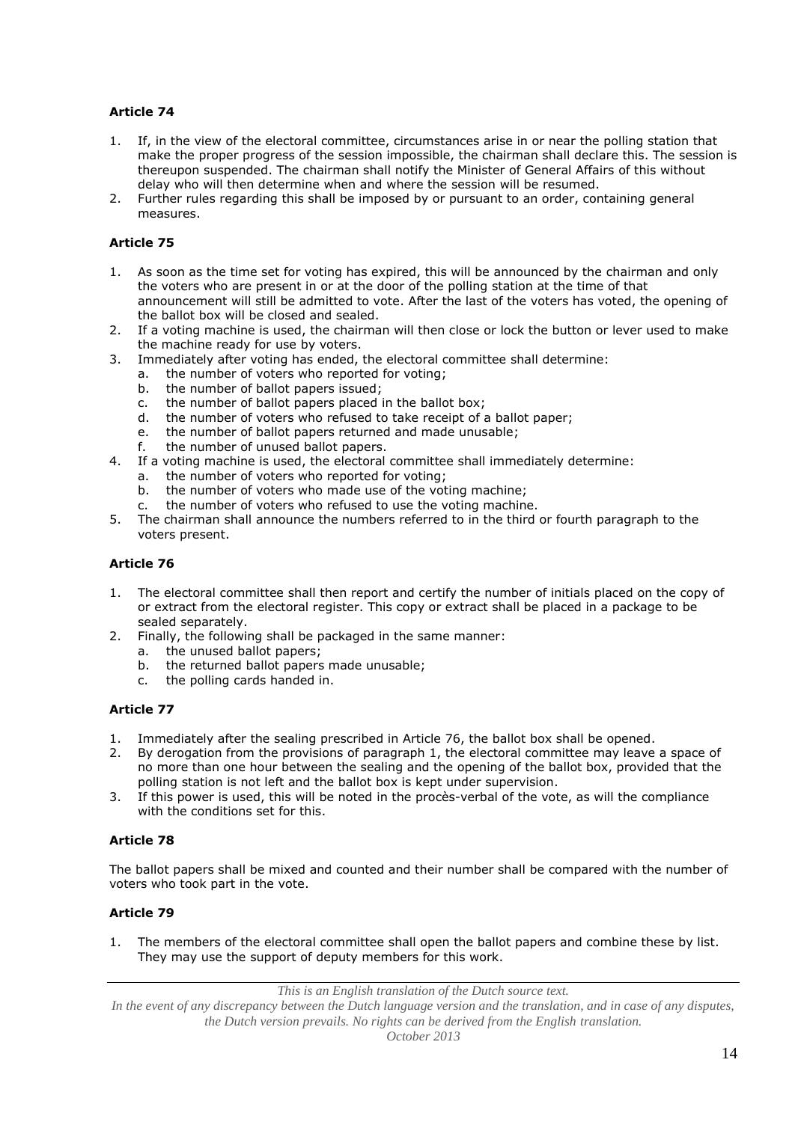- 1. If, in the view of the electoral committee, circumstances arise in or near the polling station that make the proper progress of the session impossible, the chairman shall declare this. The session is thereupon suspended. The chairman shall notify the Minister of General Affairs of this without delay who will then determine when and where the session will be resumed.
- 2. Further rules regarding this shall be imposed by or pursuant to an order, containing general measures.

# **Article 75**

- 1. As soon as the time set for voting has expired, this will be announced by the chairman and only the voters who are present in or at the door of the polling station at the time of that announcement will still be admitted to vote. After the last of the voters has voted, the opening of the ballot box will be closed and sealed.
- 2. If a voting machine is used, the chairman will then close or lock the button or lever used to make the machine ready for use by voters.
- 3. Immediately after voting has ended, the electoral committee shall determine:
	- a. the number of voters who reported for voting;
	- b. the number of ballot papers issued;
	- c. the number of ballot papers placed in the ballot box;
	- d. the number of voters who refused to take receipt of a ballot paper;
	- e. the number of ballot papers returned and made unusable;
	- f. the number of unused ballot papers.
- 4. If a voting machine is used, the electoral committee shall immediately determine:
	- a. the number of voters who reported for voting;
	- b. the number of voters who made use of the voting machine;
	- c. the number of voters who refused to use the voting machine.
- 5. The chairman shall announce the numbers referred to in the third or fourth paragraph to the voters present.

# **Article 76**

- 1. The electoral committee shall then report and certify the number of initials placed on the copy of or extract from the electoral register. This copy or extract shall be placed in a package to be sealed separately.
- 2. Finally, the following shall be packaged in the same manner:
	- a. the unused ballot papers;
	- b. the returned ballot papers made unusable;
	- c. the polling cards handed in.

## **Article 77**

- 1. Immediately after the sealing prescribed in Article 76, the ballot box shall be opened.
- 2. By derogation from the provisions of paragraph 1, the electoral committee may leave a space of no more than one hour between the sealing and the opening of the ballot box, provided that the polling station is not left and the ballot box is kept under supervision.
- 3. If this power is used, this will be noted in the procès-verbal of the vote, as will the compliance with the conditions set for this.

## **Article 78**

The ballot papers shall be mixed and counted and their number shall be compared with the number of voters who took part in the vote.

## **Article 79**

1. The members of the electoral committee shall open the ballot papers and combine these by list. They may use the support of deputy members for this work.

*This is an English translation of the Dutch source text.*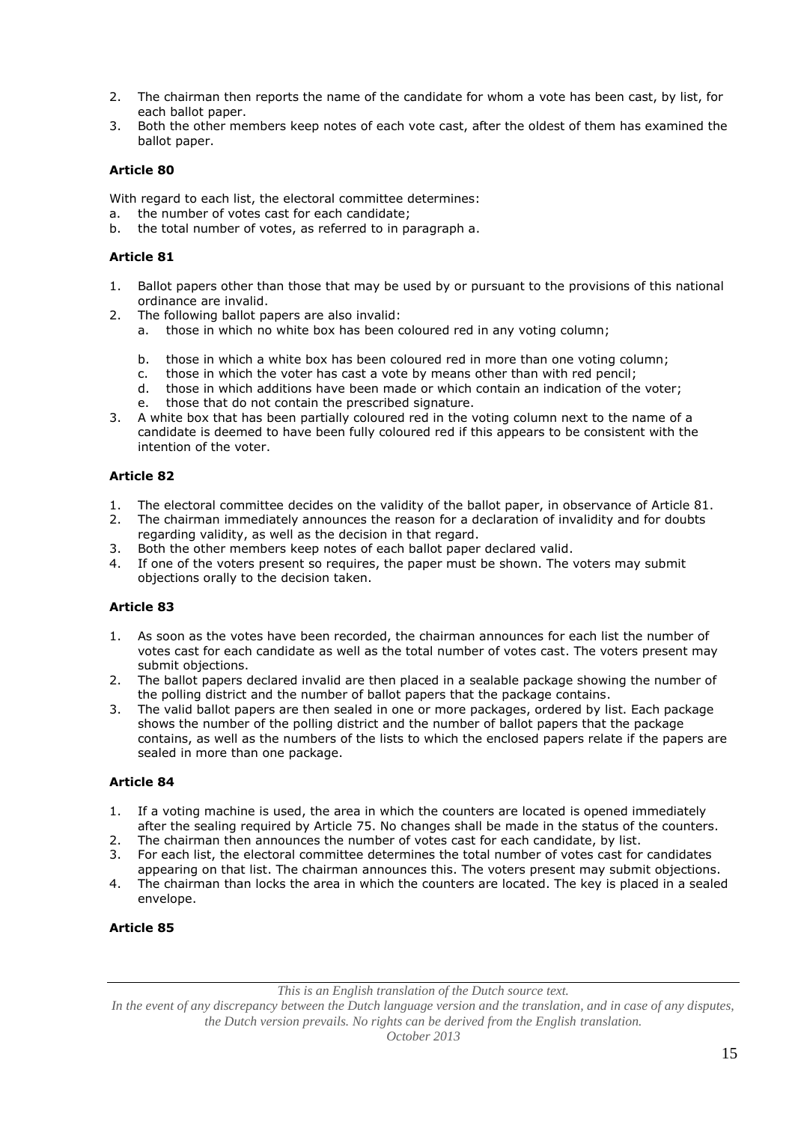- 2. The chairman then reports the name of the candidate for whom a vote has been cast, by list, for each ballot paper.
- 3. Both the other members keep notes of each vote cast, after the oldest of them has examined the ballot paper.

With regard to each list, the electoral committee determines:

- a. the number of votes cast for each candidate;
- b. the total number of votes, as referred to in paragraph a.

### **Article 81**

- 1. Ballot papers other than those that may be used by or pursuant to the provisions of this national ordinance are invalid.
- 2. The following ballot papers are also invalid:
	- a. those in which no white box has been coloured red in any voting column;
	- b. those in which a white box has been coloured red in more than one voting column;
	- c. those in which the voter has cast a vote by means other than with red pencil;
	- d. those in which additions have been made or which contain an indication of the voter;
	- e. those that do not contain the prescribed signature.
- 3. A white box that has been partially coloured red in the voting column next to the name of a candidate is deemed to have been fully coloured red if this appears to be consistent with the intention of the voter.

# **Article 82**

- 1. The electoral committee decides on the validity of the ballot paper, in observance of Article 81.
- 2. The chairman immediately announces the reason for a declaration of invalidity and for doubts regarding validity, as well as the decision in that regard.
- 3. Both the other members keep notes of each ballot paper declared valid.
- 4. If one of the voters present so requires, the paper must be shown. The voters may submit objections orally to the decision taken.

## **Article 83**

- 1. As soon as the votes have been recorded, the chairman announces for each list the number of votes cast for each candidate as well as the total number of votes cast. The voters present may submit objections.
- 2. The ballot papers declared invalid are then placed in a sealable package showing the number of the polling district and the number of ballot papers that the package contains.
- 3. The valid ballot papers are then sealed in one or more packages, ordered by list. Each package shows the number of the polling district and the number of ballot papers that the package contains, as well as the numbers of the lists to which the enclosed papers relate if the papers are sealed in more than one package.

## **Article 84**

- 1. If a voting machine is used, the area in which the counters are located is opened immediately after the sealing required by Article 75. No changes shall be made in the status of the counters.
- 2. The chairman then announces the number of votes cast for each candidate, by list.
- 3. For each list, the electoral committee determines the total number of votes cast for candidates appearing on that list. The chairman announces this. The voters present may submit objections.
- 4. The chairman than locks the area in which the counters are located. The key is placed in a sealed envelope.

## **Article 85**

*This is an English translation of the Dutch source text.*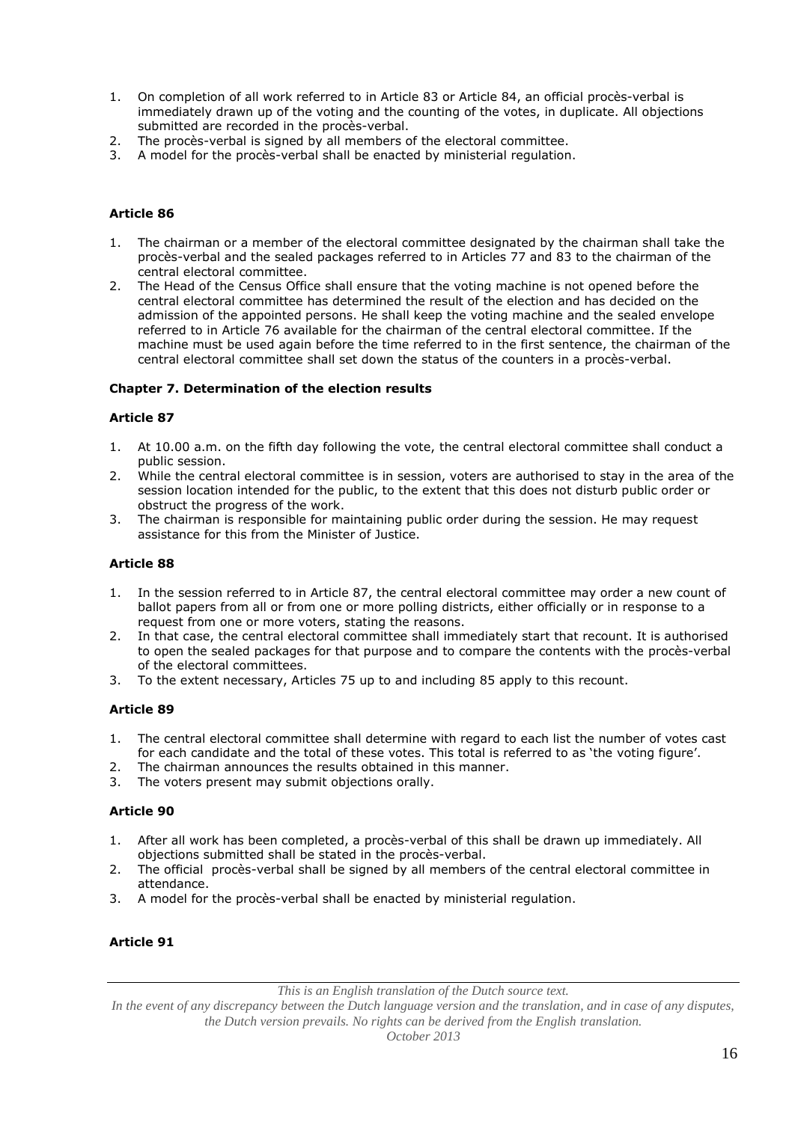- 1. On completion of all work referred to in Article 83 or Article 84, an official procès-verbal is immediately drawn up of the voting and the counting of the votes, in duplicate. All objections submitted are recorded in the procès-verbal.
- 2. The procès-verbal is signed by all members of the electoral committee.
- 3. A model for the procès-verbal shall be enacted by ministerial regulation.

- 1. The chairman or a member of the electoral committee designated by the chairman shall take the procès-verbal and the sealed packages referred to in Articles 77 and 83 to the chairman of the central electoral committee.
- 2. The Head of the Census Office shall ensure that the voting machine is not opened before the central electoral committee has determined the result of the election and has decided on the admission of the appointed persons. He shall keep the voting machine and the sealed envelope referred to in Article 76 available for the chairman of the central electoral committee. If the machine must be used again before the time referred to in the first sentence, the chairman of the central electoral committee shall set down the status of the counters in a procès-verbal.

### **Chapter 7. Determination of the election results**

#### **Article 87**

- 1. At 10.00 a.m. on the fifth day following the vote, the central electoral committee shall conduct a public session.
- 2. While the central electoral committee is in session, voters are authorised to stay in the area of the session location intended for the public, to the extent that this does not disturb public order or obstruct the progress of the work.
- The chairman is responsible for maintaining public order during the session. He may request assistance for this from the Minister of Justice.

## **Article 88**

- 1. In the session referred to in Article 87, the central electoral committee may order a new count of ballot papers from all or from one or more polling districts, either officially or in response to a request from one or more voters, stating the reasons.
- 2. In that case, the central electoral committee shall immediately start that recount. It is authorised to open the sealed packages for that purpose and to compare the contents with the procès-verbal of the electoral committees.
- 3. To the extent necessary, Articles 75 up to and including 85 apply to this recount.

## **Article 89**

- 1. The central electoral committee shall determine with regard to each list the number of votes cast for each candidate and the total of these votes. This total is referred to as 'the voting figure'.
- 2. The chairman announces the results obtained in this manner.
- 3. The voters present may submit objections orally.

## **Article 90**

- 1. After all work has been completed, a procès-verbal of this shall be drawn up immediately. All objections submitted shall be stated in the procès-verbal.
- 2. The official procès-verbal shall be signed by all members of the central electoral committee in attendance.
- 3. A model for the procès-verbal shall be enacted by ministerial regulation.

## **Article 91**

*This is an English translation of the Dutch source text.*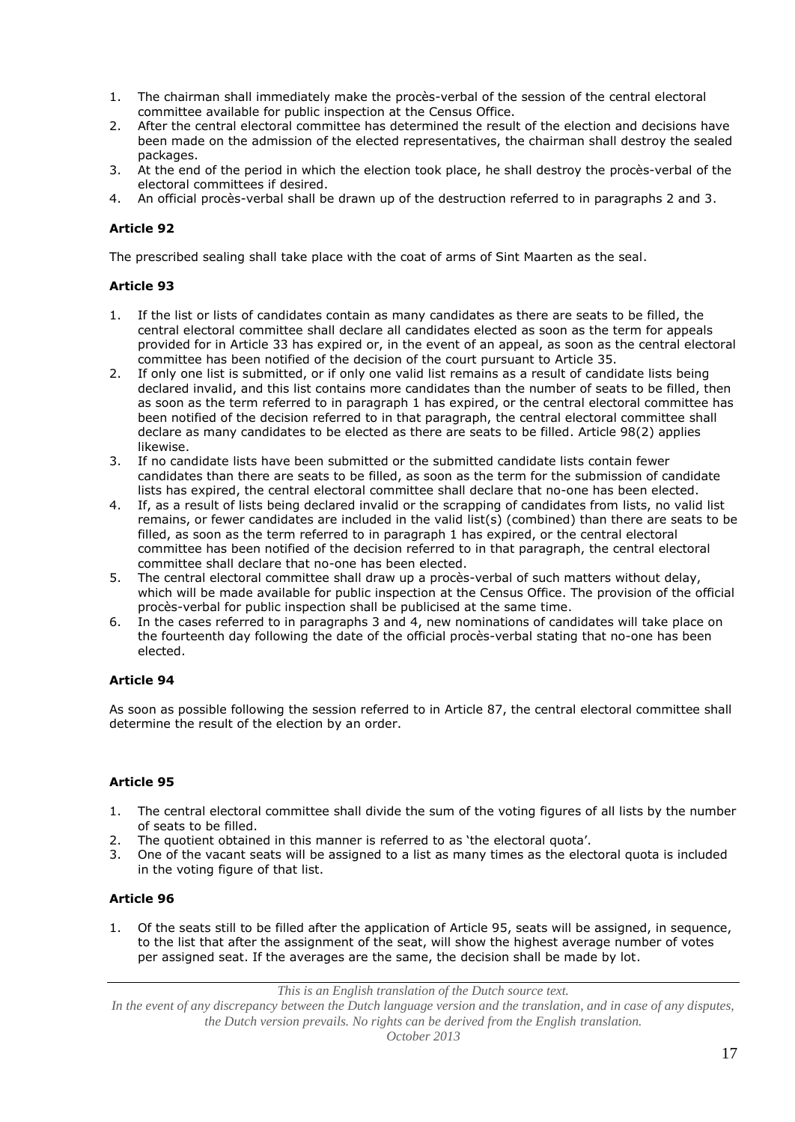- 1. The chairman shall immediately make the procès-verbal of the session of the central electoral committee available for public inspection at the Census Office.
- 2. After the central electoral committee has determined the result of the election and decisions have been made on the admission of the elected representatives, the chairman shall destroy the sealed packages.
- 3. At the end of the period in which the election took place, he shall destroy the procès-verbal of the electoral committees if desired.
- 4. An official procès-verbal shall be drawn up of the destruction referred to in paragraphs 2 and 3.

The prescribed sealing shall take place with the coat of arms of Sint Maarten as the seal.

## **Article 93**

- 1. If the list or lists of candidates contain as many candidates as there are seats to be filled, the central electoral committee shall declare all candidates elected as soon as the term for appeals provided for in Article 33 has expired or, in the event of an appeal, as soon as the central electoral committee has been notified of the decision of the court pursuant to Article 35.
- 2. If only one list is submitted, or if only one valid list remains as a result of candidate lists being declared invalid, and this list contains more candidates than the number of seats to be filled, then as soon as the term referred to in paragraph 1 has expired, or the central electoral committee has been notified of the decision referred to in that paragraph, the central electoral committee shall declare as many candidates to be elected as there are seats to be filled. Article 98(2) applies likewise.
- 3. If no candidate lists have been submitted or the submitted candidate lists contain fewer candidates than there are seats to be filled, as soon as the term for the submission of candidate lists has expired, the central electoral committee shall declare that no-one has been elected.
- 4. If, as a result of lists being declared invalid or the scrapping of candidates from lists, no valid list remains, or fewer candidates are included in the valid list(s) (combined) than there are seats to be filled, as soon as the term referred to in paragraph 1 has expired, or the central electoral committee has been notified of the decision referred to in that paragraph, the central electoral committee shall declare that no-one has been elected.
- 5. The central electoral committee shall draw up a procès-verbal of such matters without delay, which will be made available for public inspection at the Census Office. The provision of the official procès-verbal for public inspection shall be publicised at the same time.
- 6. In the cases referred to in paragraphs 3 and 4, new nominations of candidates will take place on the fourteenth day following the date of the official procès-verbal stating that no-one has been elected.

## **Article 94**

As soon as possible following the session referred to in Article 87, the central electoral committee shall determine the result of the election by an order.

## **Article 95**

- 1. The central electoral committee shall divide the sum of the voting figures of all lists by the number of seats to be filled.
- 2. The quotient obtained in this manner is referred to as 'the electoral quota'.
- 3. One of the vacant seats will be assigned to a list as many times as the electoral quota is included in the voting figure of that list.

## **Article 96**

1. Of the seats still to be filled after the application of Article 95, seats will be assigned, in sequence, to the list that after the assignment of the seat, will show the highest average number of votes per assigned seat. If the averages are the same, the decision shall be made by lot.

*This is an English translation of the Dutch source text.*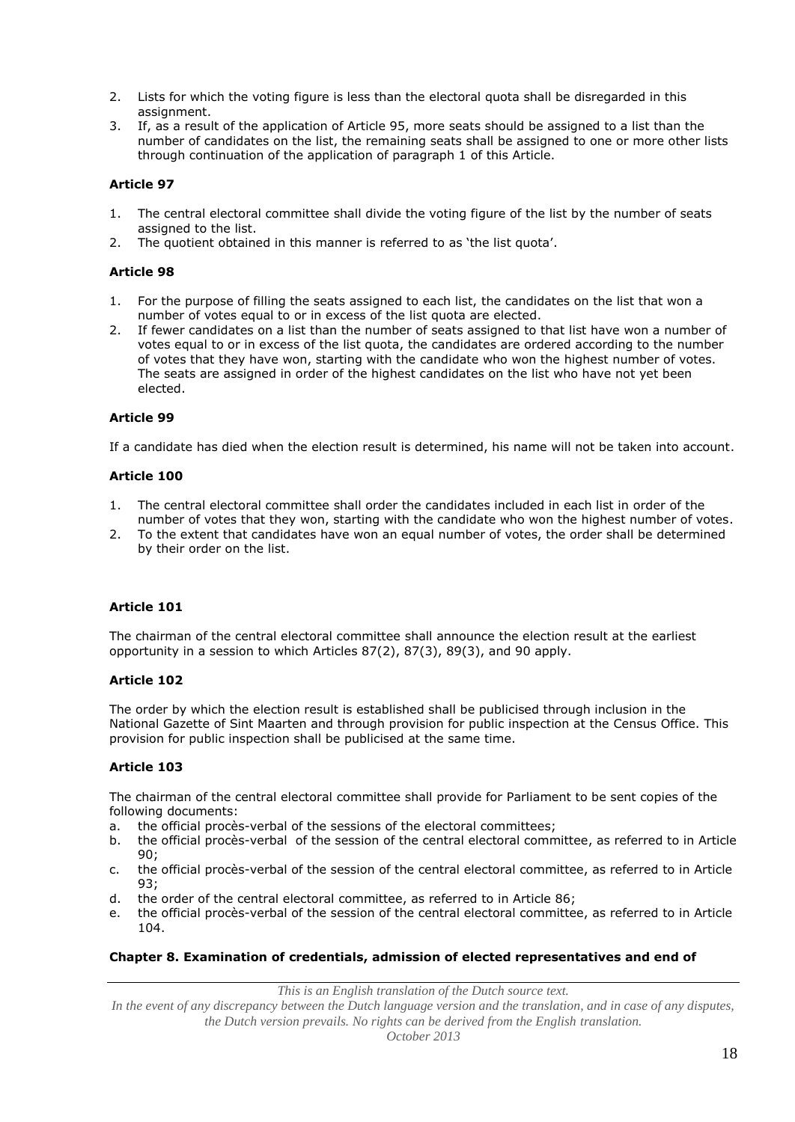- 2. Lists for which the voting figure is less than the electoral quota shall be disregarded in this assignment.
- 3. If, as a result of the application of Article 95, more seats should be assigned to a list than the number of candidates on the list, the remaining seats shall be assigned to one or more other lists through continuation of the application of paragraph 1 of this Article.

- 1. The central electoral committee shall divide the voting figure of the list by the number of seats assigned to the list.
- 2. The quotient obtained in this manner is referred to as 'the list quota'.

## **Article 98**

- 1. For the purpose of filling the seats assigned to each list, the candidates on the list that won a number of votes equal to or in excess of the list quota are elected.
- 2. If fewer candidates on a list than the number of seats assigned to that list have won a number of votes equal to or in excess of the list quota, the candidates are ordered according to the number of votes that they have won, starting with the candidate who won the highest number of votes. The seats are assigned in order of the highest candidates on the list who have not yet been elected.

## **Article 99**

If a candidate has died when the election result is determined, his name will not be taken into account.

## **Article 100**

- 1. The central electoral committee shall order the candidates included in each list in order of the number of votes that they won, starting with the candidate who won the highest number of votes.
- 2. To the extent that candidates have won an equal number of votes, the order shall be determined by their order on the list.

## **Article 101**

The chairman of the central electoral committee shall announce the election result at the earliest opportunity in a session to which Articles 87(2), 87(3), 89(3), and 90 apply.

## **Article 102**

The order by which the election result is established shall be publicised through inclusion in the National Gazette of Sint Maarten and through provision for public inspection at the Census Office. This provision for public inspection shall be publicised at the same time.

## **Article 103**

The chairman of the central electoral committee shall provide for Parliament to be sent copies of the following documents:

- a. the official procès-verbal of the sessions of the electoral committees;
- b. the official procès-verbal of the session of the central electoral committee, as referred to in Article 90;
- c. the official procès-verbal of the session of the central electoral committee, as referred to in Article 93;
- d. the order of the central electoral committee, as referred to in Article 86;
- e. the official procès-verbal of the session of the central electoral committee, as referred to in Article 104.

## **Chapter 8. Examination of credentials, admission of elected representatives and end of**

*This is an English translation of the Dutch source text.*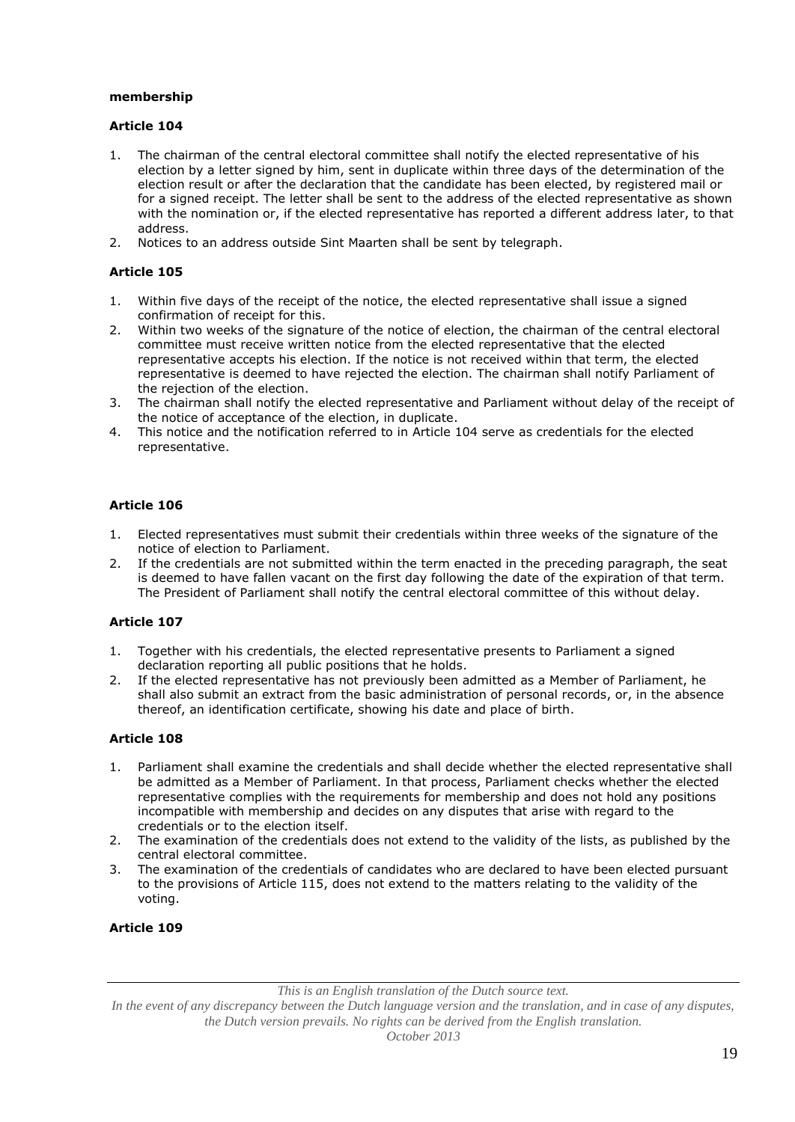### **membership**

## **Article 104**

- 1. The chairman of the central electoral committee shall notify the elected representative of his election by a letter signed by him, sent in duplicate within three days of the determination of the election result or after the declaration that the candidate has been elected, by registered mail or for a signed receipt. The letter shall be sent to the address of the elected representative as shown with the nomination or, if the elected representative has reported a different address later, to that address.
- 2. Notices to an address outside Sint Maarten shall be sent by telegraph.

# **Article 105**

- 1. Within five days of the receipt of the notice, the elected representative shall issue a signed confirmation of receipt for this.
- 2. Within two weeks of the signature of the notice of election, the chairman of the central electoral committee must receive written notice from the elected representative that the elected representative accepts his election. If the notice is not received within that term, the elected representative is deemed to have rejected the election. The chairman shall notify Parliament of the rejection of the election.
- 3. The chairman shall notify the elected representative and Parliament without delay of the receipt of the notice of acceptance of the election, in duplicate.
- 4. This notice and the notification referred to in Article 104 serve as credentials for the elected representative.

# **Article 106**

- 1. Elected representatives must submit their credentials within three weeks of the signature of the notice of election to Parliament.
- 2. If the credentials are not submitted within the term enacted in the preceding paragraph, the seat is deemed to have fallen vacant on the first day following the date of the expiration of that term. The President of Parliament shall notify the central electoral committee of this without delay.

## **Article 107**

- 1. Together with his credentials, the elected representative presents to Parliament a signed declaration reporting all public positions that he holds.
- 2. If the elected representative has not previously been admitted as a Member of Parliament, he shall also submit an extract from the basic administration of personal records, or, in the absence thereof, an identification certificate, showing his date and place of birth.

## **Article 108**

- 1. Parliament shall examine the credentials and shall decide whether the elected representative shall be admitted as a Member of Parliament. In that process, Parliament checks whether the elected representative complies with the requirements for membership and does not hold any positions incompatible with membership and decides on any disputes that arise with regard to the credentials or to the election itself.
- 2. The examination of the credentials does not extend to the validity of the lists, as published by the central electoral committee.
- 3. The examination of the credentials of candidates who are declared to have been elected pursuant to the provisions of Article 115, does not extend to the matters relating to the validity of the voting.

#### **Article 109**

*This is an English translation of the Dutch source text.*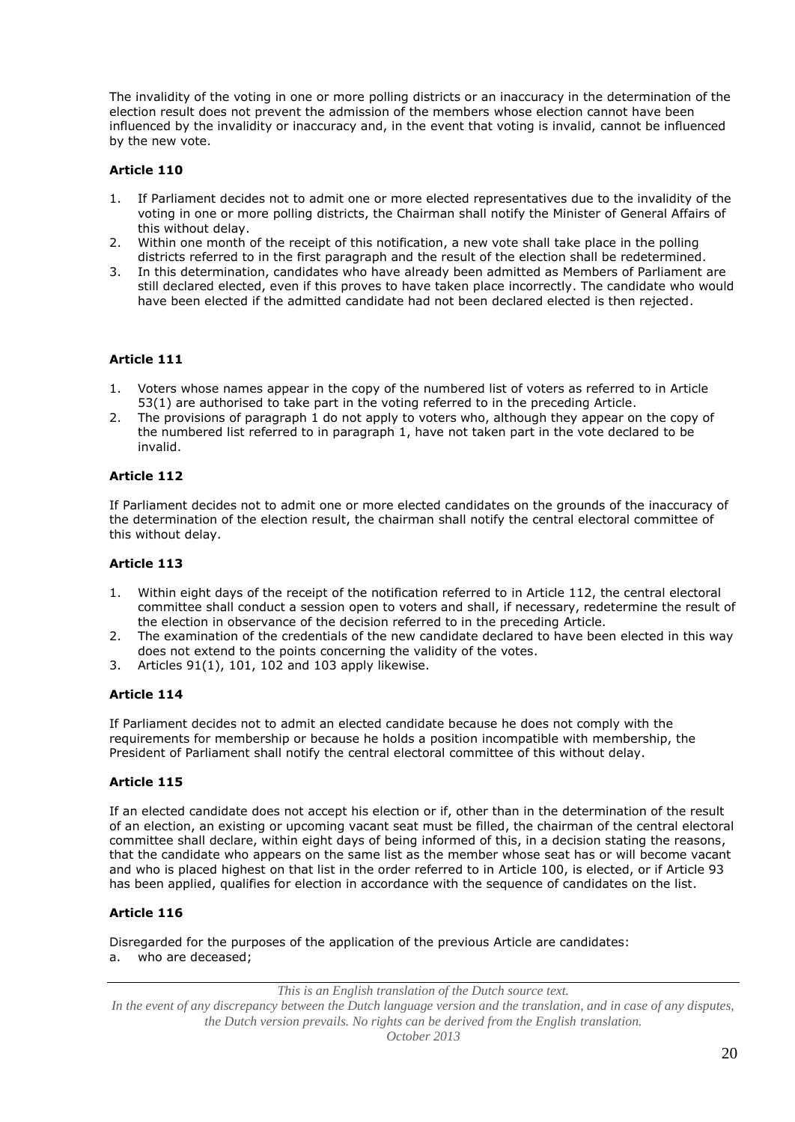The invalidity of the voting in one or more polling districts or an inaccuracy in the determination of the election result does not prevent the admission of the members whose election cannot have been influenced by the invalidity or inaccuracy and, in the event that voting is invalid, cannot be influenced by the new vote.

## **Article 110**

- 1. If Parliament decides not to admit one or more elected representatives due to the invalidity of the voting in one or more polling districts, the Chairman shall notify the Minister of General Affairs of this without delay.
- 2. Within one month of the receipt of this notification, a new vote shall take place in the polling districts referred to in the first paragraph and the result of the election shall be redetermined.
- 3. In this determination, candidates who have already been admitted as Members of Parliament are still declared elected, even if this proves to have taken place incorrectly. The candidate who would have been elected if the admitted candidate had not been declared elected is then rejected.

# **Article 111**

- 1. Voters whose names appear in the copy of the numbered list of voters as referred to in Article 53(1) are authorised to take part in the voting referred to in the preceding Article.
- 2. The provisions of paragraph 1 do not apply to voters who, although they appear on the copy of the numbered list referred to in paragraph 1, have not taken part in the vote declared to be invalid.

## **Article 112**

If Parliament decides not to admit one or more elected candidates on the grounds of the inaccuracy of the determination of the election result, the chairman shall notify the central electoral committee of this without delay.

## **Article 113**

- 1. Within eight days of the receipt of the notification referred to in Article 112, the central electoral committee shall conduct a session open to voters and shall, if necessary, redetermine the result of the election in observance of the decision referred to in the preceding Article.
- 2. The examination of the credentials of the new candidate declared to have been elected in this way does not extend to the points concerning the validity of the votes.
- 3. Articles 91(1), 101, 102 and 103 apply likewise.

## **Article 114**

If Parliament decides not to admit an elected candidate because he does not comply with the requirements for membership or because he holds a position incompatible with membership, the President of Parliament shall notify the central electoral committee of this without delay.

## **Article 115**

If an elected candidate does not accept his election or if, other than in the determination of the result of an election, an existing or upcoming vacant seat must be filled, the chairman of the central electoral committee shall declare, within eight days of being informed of this, in a decision stating the reasons, that the candidate who appears on the same list as the member whose seat has or will become vacant and who is placed highest on that list in the order referred to in Article 100, is elected, or if Article 93 has been applied, qualifies for election in accordance with the sequence of candidates on the list.

## **Article 116**

Disregarded for the purposes of the application of the previous Article are candidates: a. who are deceased;

*This is an English translation of the Dutch source text.*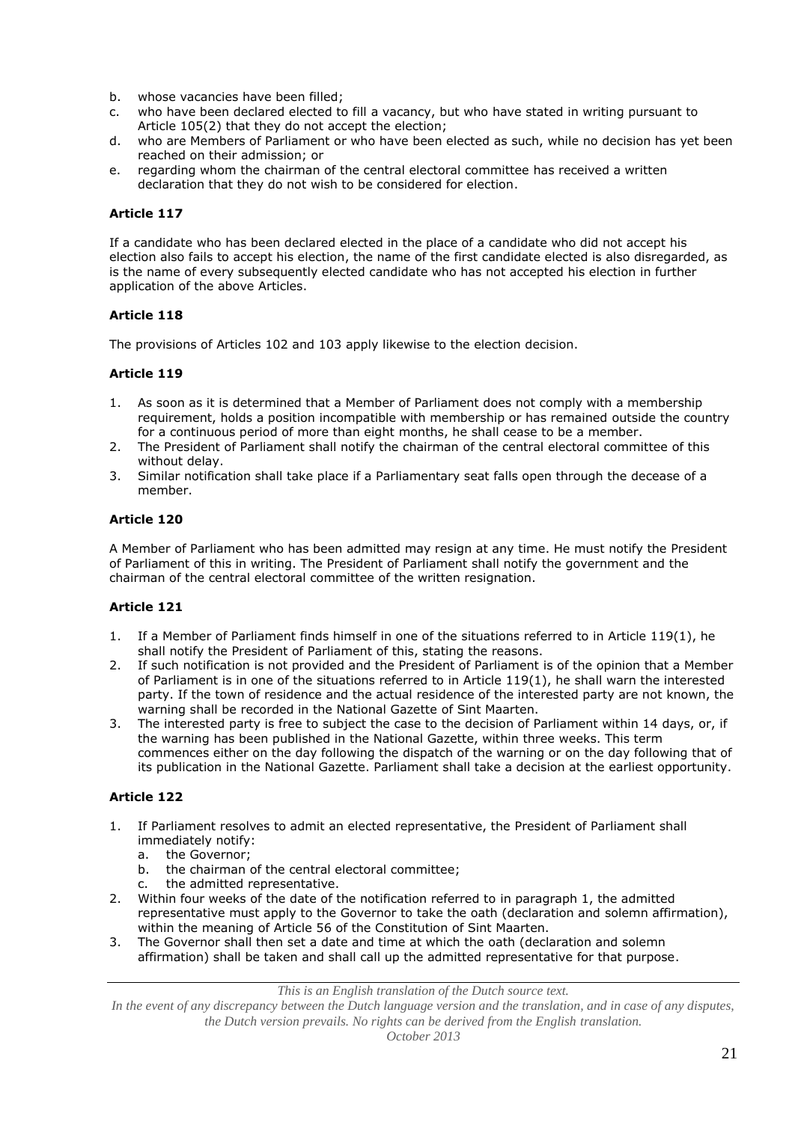- b. whose vacancies have been filled;
- c. who have been declared elected to fill a vacancy, but who have stated in writing pursuant to Article 105(2) that they do not accept the election;
- d. who are Members of Parliament or who have been elected as such, while no decision has yet been reached on their admission; or
- e. regarding whom the chairman of the central electoral committee has received a written declaration that they do not wish to be considered for election.

If a candidate who has been declared elected in the place of a candidate who did not accept his election also fails to accept his election, the name of the first candidate elected is also disregarded, as is the name of every subsequently elected candidate who has not accepted his election in further application of the above Articles.

# **Article 118**

The provisions of Articles 102 and 103 apply likewise to the election decision.

## **Article 119**

- 1. As soon as it is determined that a Member of Parliament does not comply with a membership requirement, holds a position incompatible with membership or has remained outside the country for a continuous period of more than eight months, he shall cease to be a member.
- 2. The President of Parliament shall notify the chairman of the central electoral committee of this without delay.
- 3. Similar notification shall take place if a Parliamentary seat falls open through the decease of a member.

## **Article 120**

A Member of Parliament who has been admitted may resign at any time. He must notify the President of Parliament of this in writing. The President of Parliament shall notify the government and the chairman of the central electoral committee of the written resignation.

## **Article 121**

- 1. If a Member of Parliament finds himself in one of the situations referred to in Article 119(1), he shall notify the President of Parliament of this, stating the reasons.
- 2. If such notification is not provided and the President of Parliament is of the opinion that a Member of Parliament is in one of the situations referred to in Article 119(1), he shall warn the interested party. If the town of residence and the actual residence of the interested party are not known, the warning shall be recorded in the National Gazette of Sint Maarten.
- 3. The interested party is free to subject the case to the decision of Parliament within 14 days, or, if the warning has been published in the National Gazette, within three weeks. This term commences either on the day following the dispatch of the warning or on the day following that of its publication in the National Gazette. Parliament shall take a decision at the earliest opportunity.

# **Article 122**

- 1. If Parliament resolves to admit an elected representative, the President of Parliament shall immediately notify:
	- a. the Governor;
	- b. the chairman of the central electoral committee;
	- c. the admitted representative.
- 2. Within four weeks of the date of the notification referred to in paragraph 1, the admitted representative must apply to the Governor to take the oath (declaration and solemn affirmation), within the meaning of Article 56 of the Constitution of Sint Maarten.
- 3. The Governor shall then set a date and time at which the oath (declaration and solemn affirmation) shall be taken and shall call up the admitted representative for that purpose.

*This is an English translation of the Dutch source text.*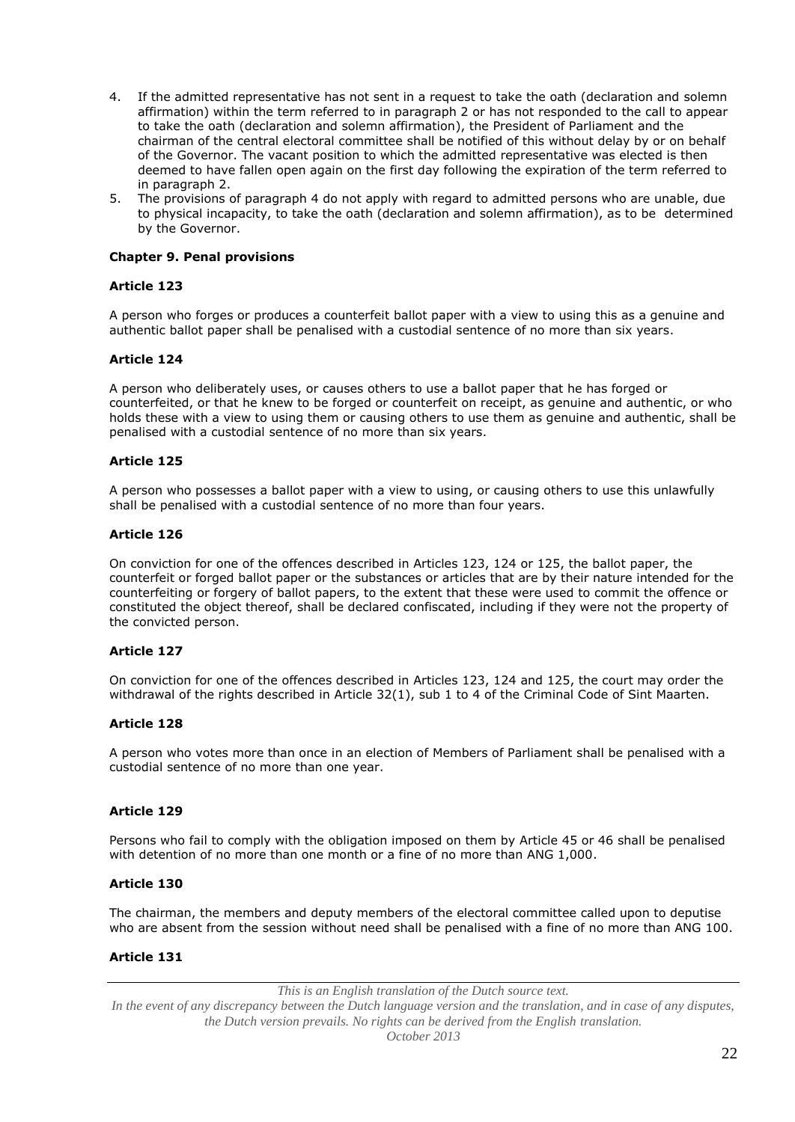- 4. If the admitted representative has not sent in a request to take the oath (declaration and solemn affirmation) within the term referred to in paragraph 2 or has not responded to the call to appear to take the oath (declaration and solemn affirmation), the President of Parliament and the chairman of the central electoral committee shall be notified of this without delay by or on behalf of the Governor. The vacant position to which the admitted representative was elected is then deemed to have fallen open again on the first day following the expiration of the term referred to in paragraph 2.
- 5. The provisions of paragraph 4 do not apply with regard to admitted persons who are unable, due to physical incapacity, to take the oath (declaration and solemn affirmation), as to be determined by the Governor.

### **Chapter 9. Penal provisions**

### **Article 123**

A person who forges or produces a counterfeit ballot paper with a view to using this as a genuine and authentic ballot paper shall be penalised with a custodial sentence of no more than six years.

## **Article 124**

A person who deliberately uses, or causes others to use a ballot paper that he has forged or counterfeited, or that he knew to be forged or counterfeit on receipt, as genuine and authentic, or who holds these with a view to using them or causing others to use them as genuine and authentic, shall be penalised with a custodial sentence of no more than six years.

### **Article 125**

A person who possesses a ballot paper with a view to using, or causing others to use this unlawfully shall be penalised with a custodial sentence of no more than four years.

### **Article 126**

On conviction for one of the offences described in Articles 123, 124 or 125, the ballot paper, the counterfeit or forged ballot paper or the substances or articles that are by their nature intended for the counterfeiting or forgery of ballot papers, to the extent that these were used to commit the offence or constituted the object thereof, shall be declared confiscated, including if they were not the property of the convicted person.

## **Article 127**

On conviction for one of the offences described in Articles 123, 124 and 125, the court may order the withdrawal of the rights described in Article 32(1), sub 1 to 4 of the Criminal Code of Sint Maarten.

#### **Article 128**

A person who votes more than once in an election of Members of Parliament shall be penalised with a custodial sentence of no more than one year.

#### **Article 129**

Persons who fail to comply with the obligation imposed on them by Article 45 or 46 shall be penalised with detention of no more than one month or a fine of no more than ANG 1,000.

#### **Article 130**

The chairman, the members and deputy members of the electoral committee called upon to deputise who are absent from the session without need shall be penalised with a fine of no more than ANG 100.

## **Article 131**

*This is an English translation of the Dutch source text.*